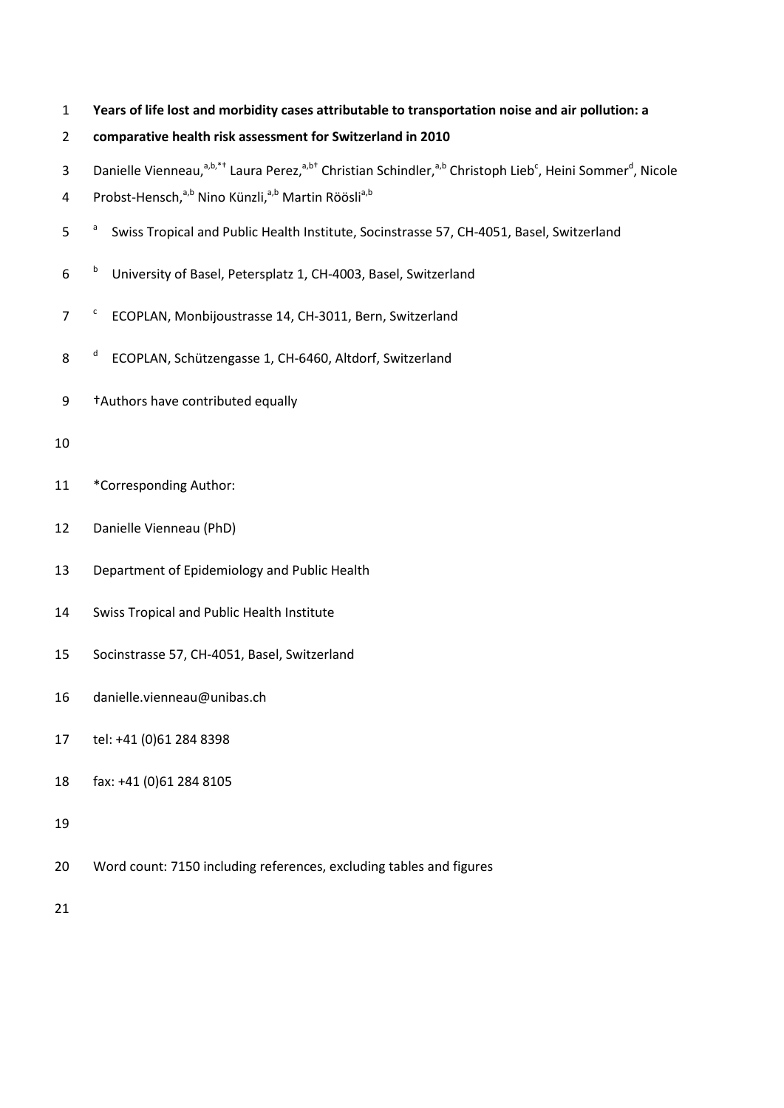**Years of life lost and morbidity cases attributable to transportation noise and air pollution: a** 

# **comparative health risk assessment for Switzerland in 2010**

- 3 Danielle Vienneau,<sup>a,b,\*†</sup> Laura Perez,<sup>a,b†</sup> Christian Schindler,<sup>a,b</sup> Christoph Lieb<sup>c</sup>, Heini Sommer<sup>d</sup>, Nicole
- 4 Probst-Hensch,<sup>a,b</sup> Nino Künzli,<sup>a,b</sup> Martin Röösli<sup>a,b</sup>
- 5 a 5 Swiss Tropical and Public Health Institute, Socinstrasse 57, CH-4051, Basel, Switzerland
- <sup>b</sup> University of Basel, Petersplatz 1, CH-4003, Basel, Switzerland
- 7 <sup>c</sup> ECOPLAN, Monbijoustrasse 14, CH-3011, Bern, Switzerland
- 8<sup>d</sup> ECOPLAN, Schützengasse 1, CH-6460, Altdorf, Switzerland
- †Authors have contributed equally

# 

- 11 \*Corresponding Author:
- Danielle Vienneau (PhD)
- Department of Epidemiology and Public Health
- Swiss Tropical and Public Health Institute
- Socinstrasse 57, CH-4051, Basel, Switzerland
- danielle.vienneau@unibas.ch
- tel: +41 (0)61 284 8398
- fax: +41 (0)61 284 8105
- 
- Word count: 7150 including references, excluding tables and figures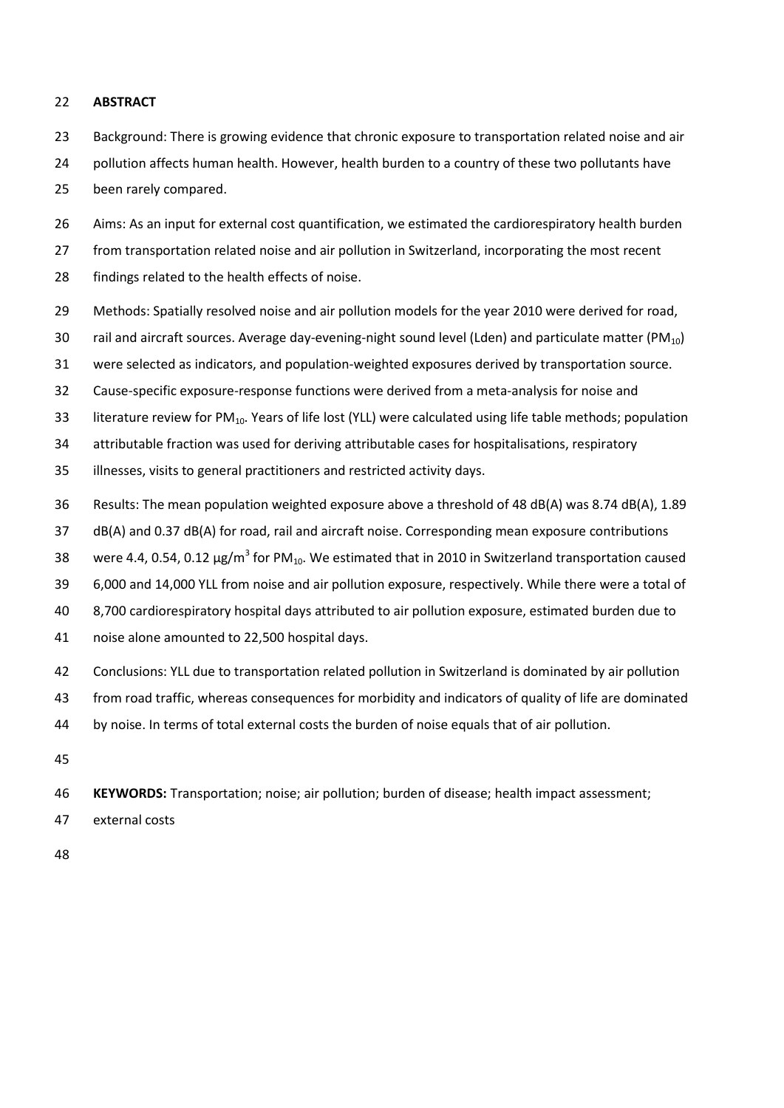#### **ABSTRACT**

- Background: There is growing evidence that chronic exposure to transportation related noise and air
- 24 pollution affects human health. However, health burden to a country of these two pollutants have been rarely compared.
- Aims: As an input for external cost quantification, we estimated the cardiorespiratory health burden
- from transportation related noise and air pollution in Switzerland, incorporating the most recent
- findings related to the health effects of noise.
- Methods: Spatially resolved noise and air pollution models for the year 2010 were derived for road,
- 30 rail and aircraft sources. Average day-evening-night sound level (Lden) and particulate matter (PM<sub>10</sub>)
- were selected as indicators, and population-weighted exposures derived by transportation source.
- Cause-specific exposure-response functions were derived from a meta-analysis for noise and
- 33 literature review for PM<sub>10</sub>. Years of life lost (YLL) were calculated using life table methods; population
- attributable fraction was used for deriving attributable cases for hospitalisations, respiratory
- illnesses, visits to general practitioners and restricted activity days.
- Results: The mean population weighted exposure above a threshold of 48 dB(A) was 8.74 dB(A), 1.89
- dB(A) and 0.37 dB(A) for road, rail and aircraft noise. Corresponding mean exposure contributions
- 38 were 4.4, 0.54, 0.12  $\mu$ g/m<sup>3</sup> for PM<sub>10</sub>. We estimated that in 2010 in Switzerland transportation caused
- 6,000 and 14,000 YLL from noise and air pollution exposure, respectively. While there were a total of
- 8,700 cardiorespiratory hospital days attributed to air pollution exposure, estimated burden due to
- noise alone amounted to 22,500 hospital days.
- Conclusions: YLL due to transportation related pollution in Switzerland is dominated by air pollution
- from road traffic, whereas consequences for morbidity and indicators of quality of life are dominated
- by noise. In terms of total external costs the burden of noise equals that of air pollution.
- 
- **KEYWORDS:** Transportation; noise; air pollution; burden of disease; health impact assessment;
- external costs
-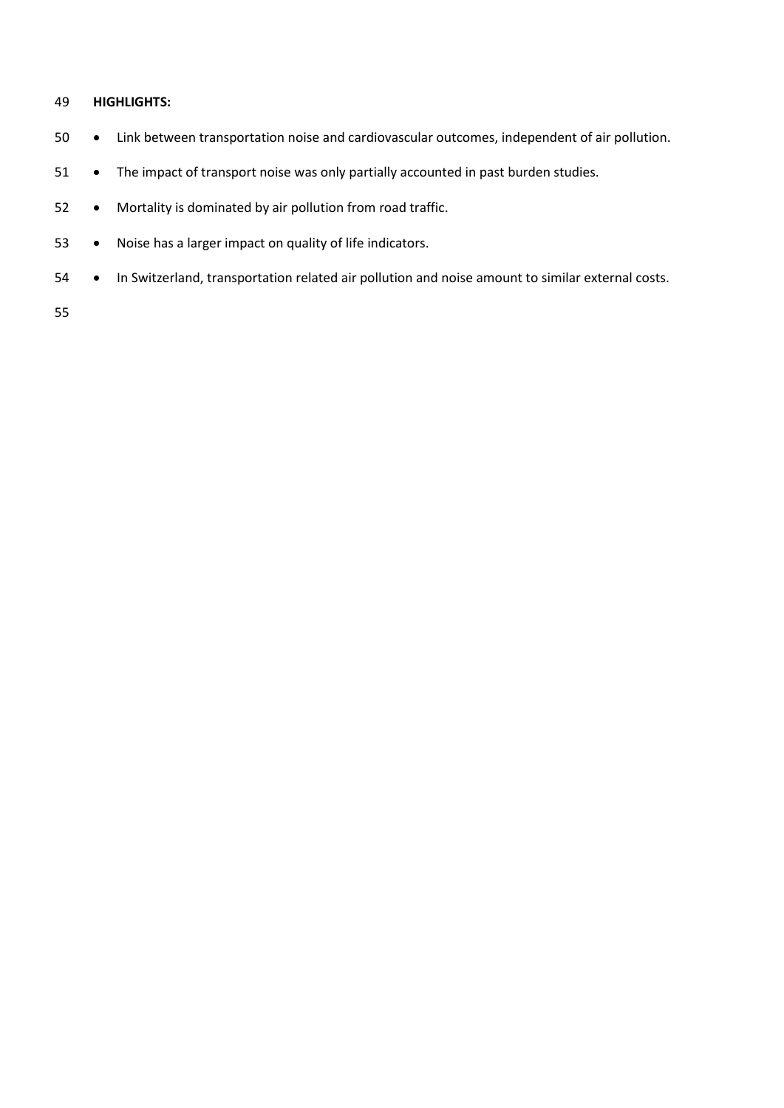# **HIGHLIGHTS:**

- Link between transportation noise and cardiovascular outcomes, independent of air pollution.
- 51 The impact of transport noise was only partially accounted in past burden studies.
- Mortality is dominated by air pollution from road traffic.
- Noise has a larger impact on quality of life indicators.
- In Switzerland, transportation related air pollution and noise amount to similar external costs.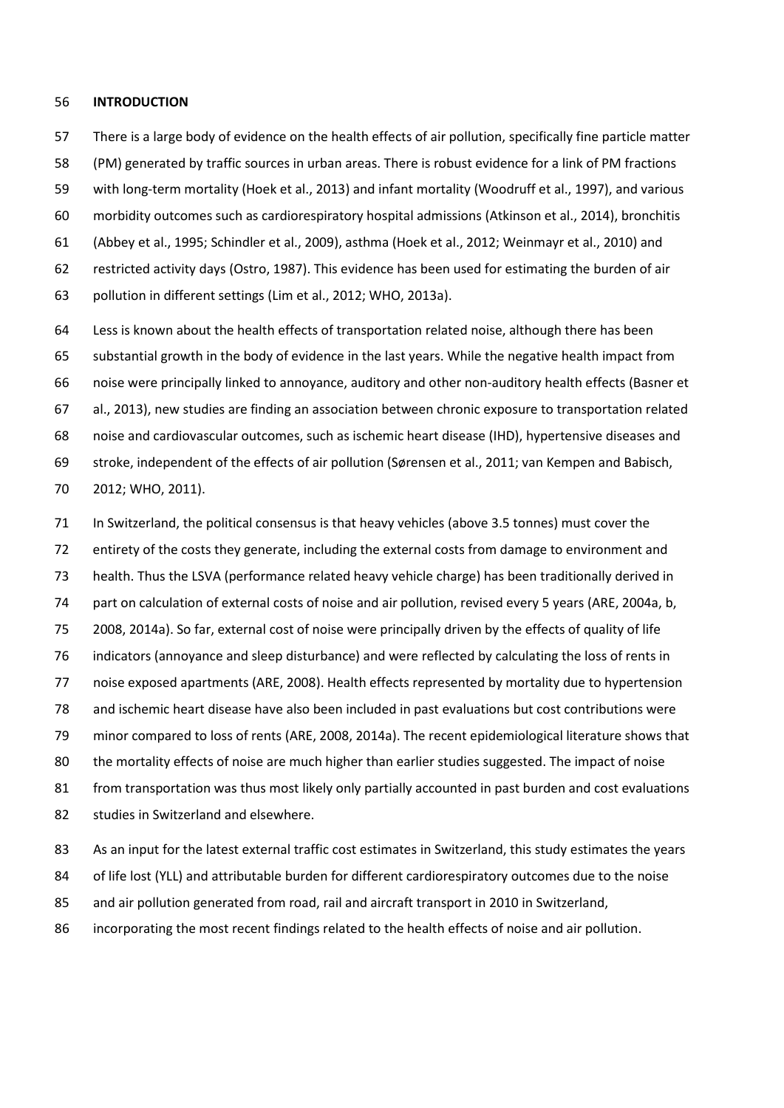#### **INTRODUCTION**

 There is a large body of evidence on the health effects of air pollution, specifically fine particle matter (PM) generated by traffic sources in urban areas. There is robust evidence for a link of PM fractions with long-term mortality [\(Hoek et al., 2013\)](#page-19-0) and infant mortality [\(Woodruff et al., 1997\)](#page-21-0), and various morbidity outcomes such as cardiorespiratory hospital admissions [\(Atkinson et al., 2014\)](#page-18-0), bronchitis [\(Abbey et al., 1995;](#page-18-1) [Schindler et al., 2009\)](#page-20-0), asthma [\(Hoek et al., 2012;](#page-19-1) [Weinmayr et al., 2010\)](#page-21-1) and restricted activity days [\(Ostro, 1987\)](#page-20-1). This evidence has been used for estimating the burden of air pollution in different settings [\(Lim et al., 2012;](#page-20-2) [WHO, 2013a\)](#page-21-2).

 Less is known about the health effects of transportation related noise, although there has been substantial growth in the body of evidence in the last years. While the negative health impact from noise were principally linked to annoyance, auditory and other non-auditory health effects [\(Basner et](#page-18-2)  [al., 2013\)](#page-18-2), new studies are finding an association between chronic exposure to transportation related noise and cardiovascular outcomes, such as ischemic heart disease (IHD), hypertensive diseases and stroke, independent of the effects of air pollution [\(Sørensen et al., 2011;](#page-21-3) [van Kempen and Babisch,](#page-21-4)  [2012;](#page-21-4) [WHO, 2011\)](#page-21-5).

 In Switzerland, the political consensus is that heavy vehicles (above 3.5 tonnes) must cover the entirety of the costs they generate, including the external costs from damage to environment and health. Thus the LSVA (performance related heavy vehicle charge) has been traditionally derived in 74 part on calculation of external costs of noise and air pollution, revised every 5 years [\(ARE, 2004a,](#page-18-3) b, [2008,](#page-18-5) [2014a\)](#page-18-6). So far, external cost of noise were principally driven by the effects of quality of life indicators (annoyance and sleep disturbance) and were reflected by calculating the loss of rents in noise exposed apartments [\(ARE, 2008\)](#page-18-5). Health effects represented by mortality due to hypertension and ischemic heart disease have also been included in past evaluations but cost contributions were minor compared to loss of rents [\(ARE, 2008,](#page-18-5) [2014a\)](#page-18-6). The recent epidemiological literature shows that the mortality effects of noise are much higher than earlier studies suggested. The impact of noise from transportation was thus most likely only partially accounted in past burden and cost evaluations studies in Switzerland and elsewhere.

As an input for the latest external traffic cost estimates in Switzerland, this study estimates the years

of life lost (YLL) and attributable burden for different cardiorespiratory outcomes due to the noise

and air pollution generated from road, rail and aircraft transport in 2010 in Switzerland,

incorporating the most recent findings related to the health effects of noise and air pollution.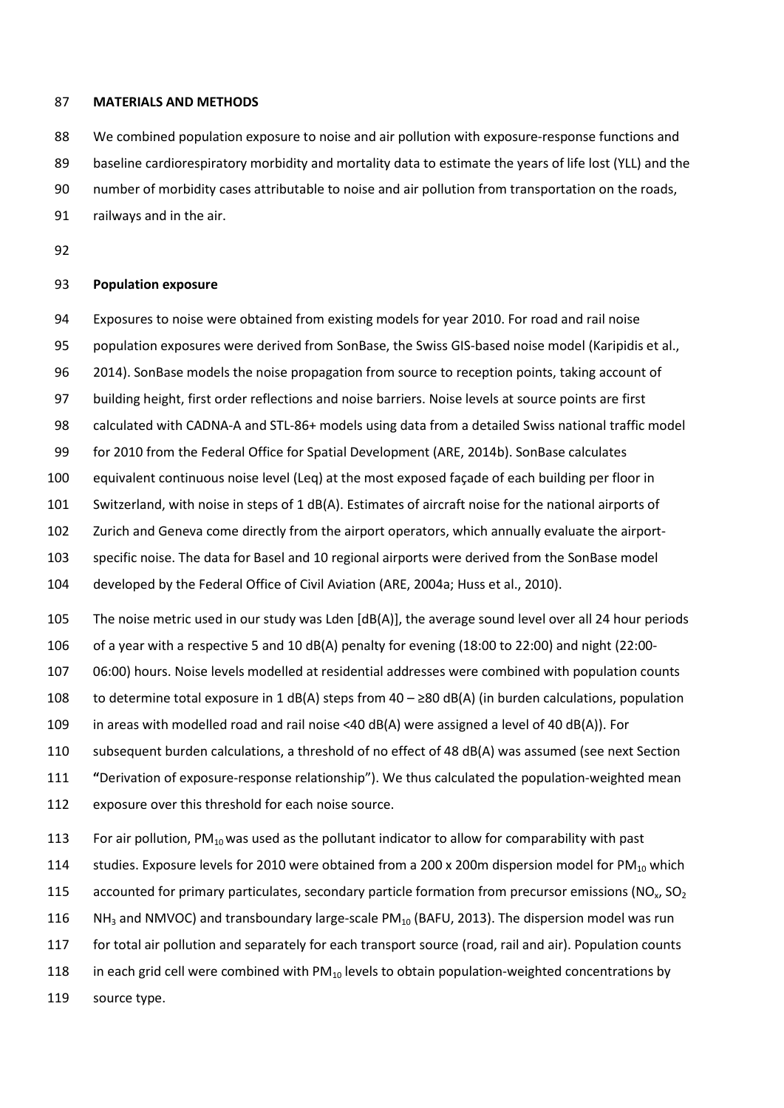#### **MATERIALS AND METHODS**

We combined population exposure to noise and air pollution with exposure-response functions and

89 baseline cardiorespiratory morbidity and mortality data to estimate the years of life lost (YLL) and the

- number of morbidity cases attributable to noise and air pollution from transportation on the roads,
- railways and in the air.
- 

#### **Population exposure**

- Exposures to noise were obtained from existing models for year 2010. For road and rail noise
- population exposures were derived from SonBase, the Swiss GIS-based noise model [\(Karipidis et al.,](#page-19-2)
- [2014\)](#page-19-2). SonBase models the noise propagation from source to reception points, taking account of
- building height, first order reflections and noise barriers. Noise levels at source points are first
- calculated with CADNA-A and STL-86+ models using data from a detailed Swiss national traffic model
- for 2010 from the Federal Office for Spatial Development [\(ARE, 2014b\)](#page-18-7). SonBase calculates
- equivalent continuous noise level (Leq) at the most exposed façade of each building per floor in
- Switzerland, with noise in steps of 1 dB(A). Estimates of aircraft noise for the national airports of
- Zurich and Geneva come directly from the airport operators, which annually evaluate the airport-
- specific noise. The data for Basel and 10 regional airports were derived from the SonBase model
- developed by the Federal Office of Civil Aviation [\(ARE, 2004a;](#page-18-3) [Huss et al., 2010\)](#page-19-3).
- The noise metric used in our study was Lden [dB(A)], the average sound level over all 24 hour periods
- of a year with a respective 5 and 10 dB(A) penalty for evening (18:00 to 22:00) and night (22:00-
- 06:00) hours. Noise levels modelled at residential addresses were combined with population counts
- to determine total exposure in 1 dB(A) steps from 40 ≥80 dB(A) (in burden calculations, population
- in areas with modelled road and rail noise <40 dB(A) were assigned a level of 40 dB(A)). For
- subsequent burden calculations, a threshold of no effect of 48 dB(A) was assumed (see next Section
- **"**Derivation of exposure-response relationship"). We thus calculated the population-weighted mean
- exposure over this threshold for each noise source.
- 113 For air pollution,  $PM_{10}$  was used as the pollutant indicator to allow for comparability with past
- 114 studies. Exposure levels for 2010 were obtained from a 200 x 200m dispersion model for PM<sub>10</sub> which
- 115 accounted for primary particulates, secondary particle formation from precursor emissions ( $NO<sub>x</sub>$ , SO<sub>2</sub>
- 116 NH<sub>3</sub> and NMVOC) and transboundary large-scale PM<sub>10</sub> [\(BAFU, 2013\)](#page-18-8). The dispersion model was run
- for total air pollution and separately for each transport source (road, rail and air). Population counts
- 118 in each grid cell were combined with  $PM_{10}$  levels to obtain population-weighted concentrations by
- source type.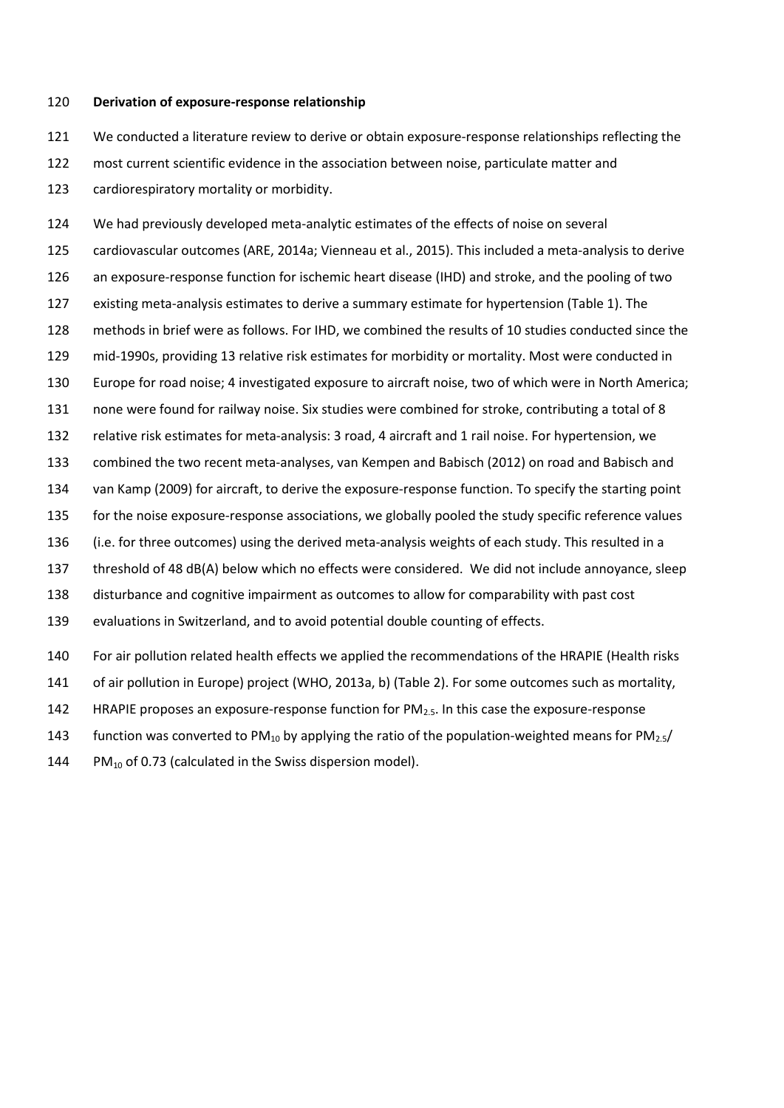#### **Derivation of exposure-response relationship**

We conducted a literature review to derive or obtain exposure-response relationships reflecting the

 most current scientific evidence in the association between noise, particulate matter and cardiorespiratory mortality or morbidity.

 We had previously developed meta-analytic estimates of the effects of noise on several cardiovascular outcomes [\(ARE, 2014a;](#page-18-6) [Vienneau et al., 2015\)](#page-21-6). This included a meta-analysis to derive an exposure-response function for ischemic heart disease (IHD) and stroke, and the pooling of two existing meta-analysis estimates to derive a summary estimate for hypertension (Table 1). The methods in brief were as follows. For IHD, we combined the results of 10 studies conducted since the mid-1990s, providing 13 relative risk estimates for morbidity or mortality. Most were conducted in Europe for road noise; 4 investigated exposure to aircraft noise, two of which were in North America; none were found for railway noise. Six studies were combined for stroke, contributing a total of 8 relative risk estimates for meta-analysis: 3 road, 4 aircraft and 1 rail noise. For hypertension, we combined the two recent meta-analyses, [van Kempen and Babisch \(2012\)](#page-21-4) on road and [Babisch and](#page-18-9)  van Kamp (2009) for aircraft, to derive the exposure-response function. To specify the starting point for the noise exposure-response associations, we globally pooled the study specific reference values (i.e. for three outcomes) using the derived meta-analysis weights of each study. This resulted in a threshold of 48 dB(A) below which no effects were considered. We did not include annoyance, sleep disturbance and cognitive impairment as outcomes to allow for comparability with past cost evaluations in Switzerland, and to avoid potential double counting of effects. For air pollution related health effects we applied the recommendations of the HRAPIE (Health risks of air pollution in Europe) project [\(WHO, 2013a,](#page-21-2) [b\)](#page-21-7) (Table 2). For some outcomes such as mortality,

- 142 HRAPIE proposes an exposure-response function for  $PM<sub>2.5</sub>$ . In this case the exposure-response
- 143 function was converted to PM<sub>10</sub> by applying the ratio of the population-weighted means for PM<sub>2.5</sub>/
- 144 PM $_{10}$  of 0.73 (calculated in the Swiss dispersion model).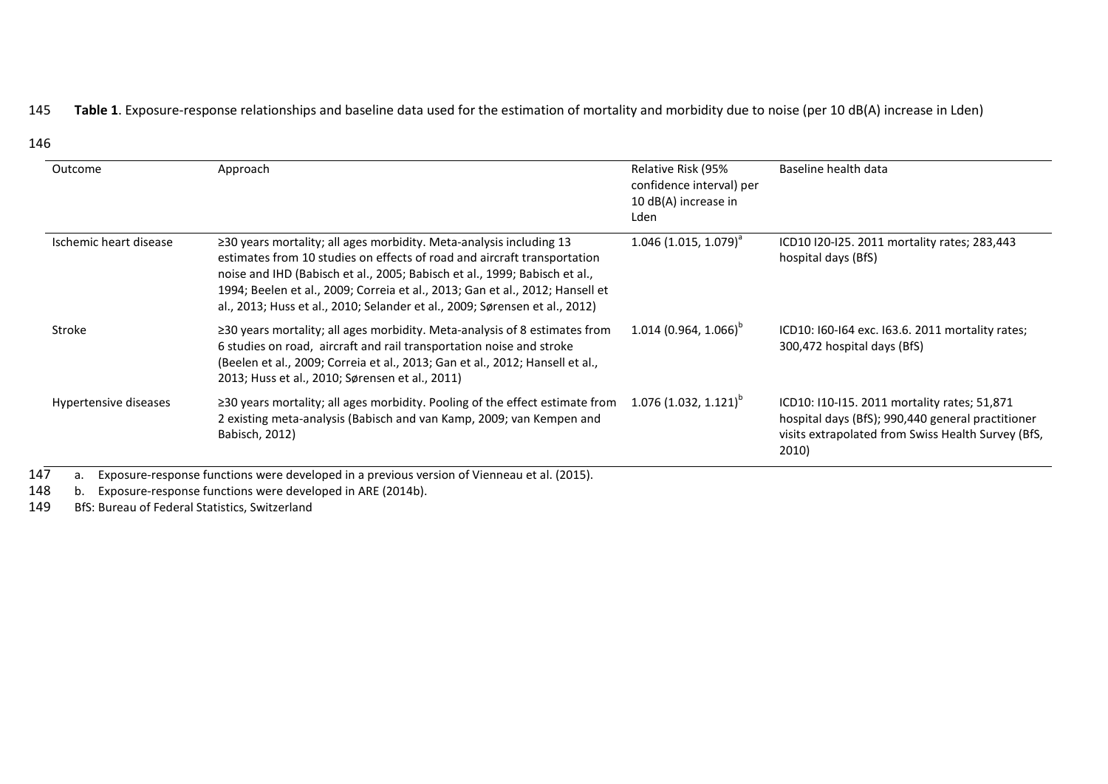# 145 **Table 1**. Exposure-response relationships and baseline data used for the estimation of mortality and morbidity due to noise (per 10 dB(A) increase in Lden)

| Outcome                | Approach                                                                                                                                                                                                                                                                                                                                                                                            | Relative Risk (95%<br>confidence interval) per<br>10 dB(A) increase in<br>Lden | Baseline health data                                                                                                                                             |
|------------------------|-----------------------------------------------------------------------------------------------------------------------------------------------------------------------------------------------------------------------------------------------------------------------------------------------------------------------------------------------------------------------------------------------------|--------------------------------------------------------------------------------|------------------------------------------------------------------------------------------------------------------------------------------------------------------|
| Ischemic heart disease | $\geq$ 30 years mortality; all ages morbidity. Meta-analysis including 13<br>estimates from 10 studies on effects of road and aircraft transportation<br>noise and IHD (Babisch et al., 2005; Babisch et al., 1999; Babisch et al.,<br>1994; Beelen et al., 2009; Correia et al., 2013; Gan et al., 2012; Hansell et<br>al., 2013; Huss et al., 2010; Selander et al., 2009; Sørensen et al., 2012) | $1.046$ (1.015, 1.079) <sup>a</sup>                                            | ICD10 I20-I25. 2011 mortality rates; 283,443<br>hospital days (BfS)                                                                                              |
| Stroke                 | $\geq$ 30 years mortality; all ages morbidity. Meta-analysis of 8 estimates from<br>6 studies on road, aircraft and rail transportation noise and stroke<br>(Beelen et al., 2009; Correia et al., 2013; Gan et al., 2012; Hansell et al.,<br>2013; Huss et al., 2010; Sørensen et al., 2011)                                                                                                        | $1.014(0.964, 1.066)^{b}$                                                      | ICD10: 160-164 exc. 163.6. 2011 mortality rates;<br>300,472 hospital days (BfS)                                                                                  |
| Hypertensive diseases  | ≥30 years mortality; all ages morbidity. Pooling of the effect estimate from<br>2 existing meta-analysis (Babisch and van Kamp, 2009; van Kempen and<br>Babisch, 2012)                                                                                                                                                                                                                              | $1.076(1.032, 1.121)^{p}$                                                      | ICD10: I10-I15. 2011 mortality rates; 51,871<br>hospital days (BfS); 990,440 general practitioner<br>visits extrapolated from Swiss Health Survey (BfS,<br>2010) |

147 a. Exposure-response functions were developed in a previous version of [Vienneau et al. \(2015\).](#page-21-11)<br>148 b. Exposure-response functions were developed in ARE (2014b).

148 b. Exposure-response functions were developed in [ARE \(2014b\).](#page-18-16)<br>149 BfS: Bureau of Federal Statistics, Switzerland

BfS: Bureau of Federal Statistics, Switzerland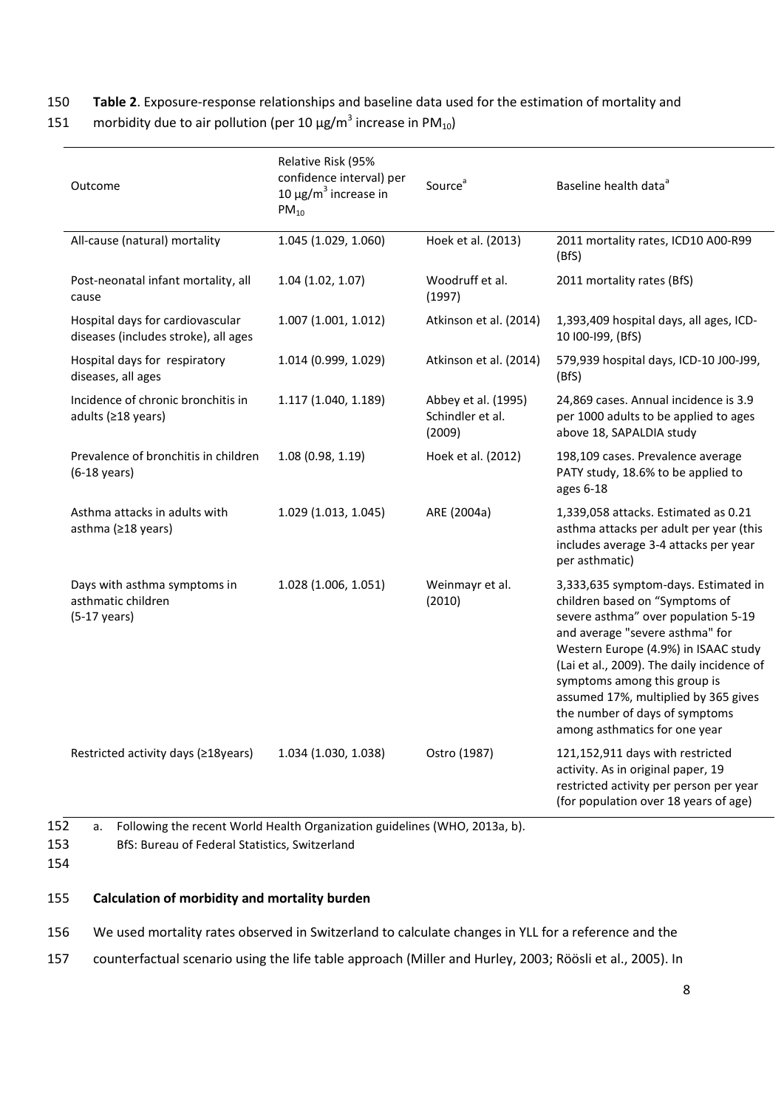## 150 **Table 2**. Exposure-response relationships and baseline data used for the estimation of mortality and

| 151 | morbidity due to air pollution (per 10 $\mu$ g/m <sup>3</sup> increase in PM <sub>10</sub> ) |  |  |  |  |
|-----|----------------------------------------------------------------------------------------------|--|--|--|--|
|-----|----------------------------------------------------------------------------------------------|--|--|--|--|

| Outcome                                                                      | Relative Risk (95%<br>confidence interval) per<br>10 μg/m <sup>3</sup> increase in<br>$PM_{10}$ | Source <sup>a</sup>                               | Baseline health data <sup>ª</sup>                                                                                                                                                                                                                                                                                                                                                 |
|------------------------------------------------------------------------------|-------------------------------------------------------------------------------------------------|---------------------------------------------------|-----------------------------------------------------------------------------------------------------------------------------------------------------------------------------------------------------------------------------------------------------------------------------------------------------------------------------------------------------------------------------------|
| All-cause (natural) mortality                                                | 1.045 (1.029, 1.060)                                                                            | Hoek et al. (2013)                                | 2011 mortality rates, ICD10 A00-R99<br>(BfS)                                                                                                                                                                                                                                                                                                                                      |
| Post-neonatal infant mortality, all<br>cause                                 | 1.04(1.02, 1.07)                                                                                | Woodruff et al.<br>(1997)                         | 2011 mortality rates (BfS)                                                                                                                                                                                                                                                                                                                                                        |
| Hospital days for cardiovascular<br>diseases (includes stroke), all ages     | 1.007 (1.001, 1.012)                                                                            | Atkinson et al. (2014)                            | 1,393,409 hospital days, all ages, ICD-<br>10 100-199, (BfS)                                                                                                                                                                                                                                                                                                                      |
| Hospital days for respiratory<br>diseases, all ages                          | 1.014 (0.999, 1.029)                                                                            | Atkinson et al. (2014)                            | 579,939 hospital days, ICD-10 J00-J99,<br>(BfS)                                                                                                                                                                                                                                                                                                                                   |
| Incidence of chronic bronchitis in<br>adults (≥18 years)                     | 1.117 (1.040, 1.189)                                                                            | Abbey et al. (1995)<br>Schindler et al.<br>(2009) | 24,869 cases. Annual incidence is 3.9<br>per 1000 adults to be applied to ages<br>above 18, SAPALDIA study                                                                                                                                                                                                                                                                        |
| Prevalence of bronchitis in children<br>$(6-18 \text{ years})$               | 1.08(0.98, 1.19)                                                                                | Hoek et al. (2012)                                | 198,109 cases. Prevalence average<br>PATY study, 18.6% to be applied to<br>ages 6-18                                                                                                                                                                                                                                                                                              |
| Asthma attacks in adults with<br>asthma (≥18 years)                          | 1.029 (1.013, 1.045)                                                                            | ARE (2004a)                                       | 1,339,058 attacks. Estimated as 0.21<br>asthma attacks per adult per year (this<br>includes average 3-4 attacks per year<br>per asthmatic)                                                                                                                                                                                                                                        |
| Days with asthma symptoms in<br>asthmatic children<br>$(5-17 \text{ years})$ | 1.028 (1.006, 1.051)                                                                            | Weinmayr et al.<br>(2010)                         | 3,333,635 symptom-days. Estimated in<br>children based on "Symptoms of<br>severe asthma" over population 5-19<br>and average "severe asthma" for<br>Western Europe (4.9%) in ISAAC study<br>(Lai et al., 2009). The daily incidence of<br>symptoms among this group is<br>assumed 17%, multiplied by 365 gives<br>the number of days of symptoms<br>among asthmatics for one year |
| Restricted activity days (≥18years)                                          | 1.034 (1.030, 1.038)                                                                            | Ostro (1987)                                      | 121,152,911 days with restricted<br>activity. As in original paper, 19<br>restricted activity per person per year<br>(for population over 18 years of age)                                                                                                                                                                                                                        |

154

155 **Calculation of morbidity and mortality burden**

- 156 We used mortality rates observed in Switzerland to calculate changes in YLL for a reference and the
- 157 counterfactual scenario using the life table approach [\(Miller and Hurley, 2003;](#page-20-4) [Röösli et al., 2005\)](#page-20-5). In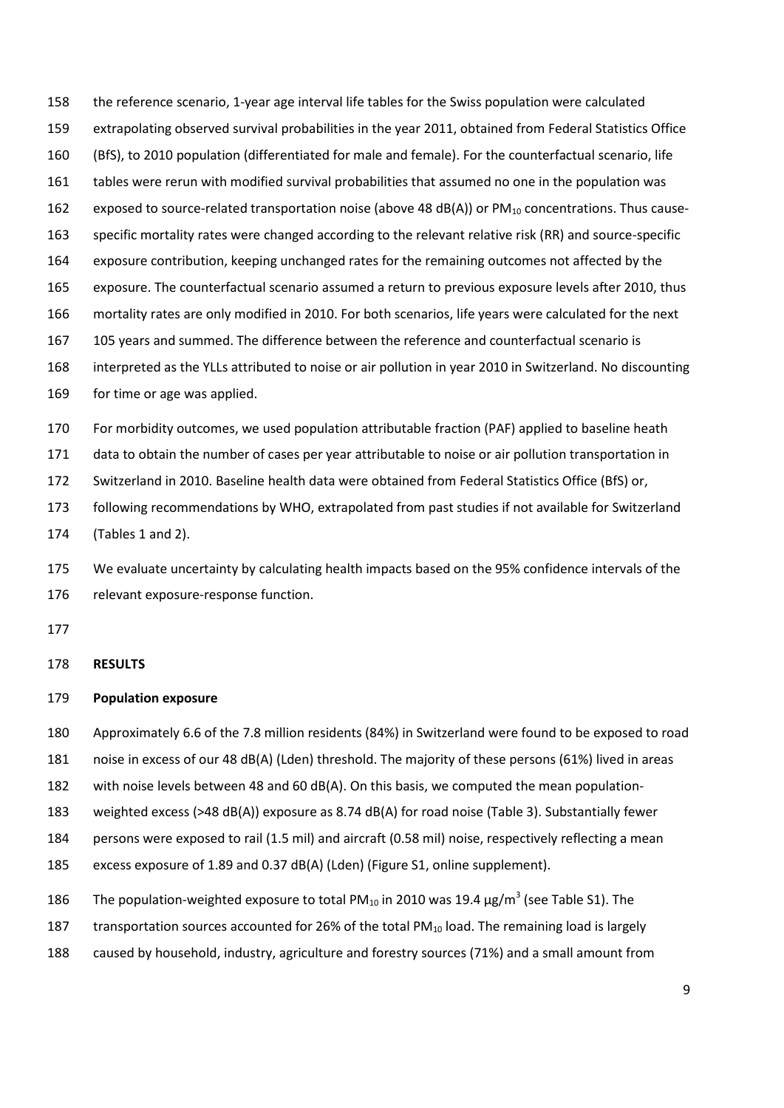extrapolating observed survival probabilities in the year 2011, obtained from Federal Statistics Office (BfS), to 2010 population (differentiated for male and female). For the counterfactual scenario, life tables were rerun with modified survival probabilities that assumed no one in the population was 162 exposed to source-related transportation noise (above 48 dB(A)) or  $PM_{10}$  concentrations. Thus cause-

the reference scenario, 1-year age interval life tables for the Swiss population were calculated

specific mortality rates were changed according to the relevant relative risk (RR) and source-specific

- exposure contribution, keeping unchanged rates for the remaining outcomes not affected by the
- exposure. The counterfactual scenario assumed a return to previous exposure levels after 2010, thus
- mortality rates are only modified in 2010. For both scenarios, life years were calculated for the next
- 105 years and summed. The difference between the reference and counterfactual scenario is
- interpreted as the YLLs attributed to noise or air pollution in year 2010 in Switzerland. No discounting
- for time or age was applied.

For morbidity outcomes, we used population attributable fraction (PAF) applied to baseline heath

data to obtain the number of cases per year attributable to noise or air pollution transportation in

Switzerland in 2010. Baseline health data were obtained from Federal Statistics Office (BfS) or,

following recommendations by WHO, extrapolated from past studies if not available for Switzerland

(Tables 1 and 2).

 We evaluate uncertainty by calculating health impacts based on the 95% confidence intervals of the relevant exposure-response function.

#### **RESULTS**

#### **Population exposure**

Approximately 6.6 of the 7.8 million residents (84%) in Switzerland were found to be exposed to road

noise in excess of our 48 dB(A) (Lden) threshold. The majority of these persons (61%) lived in areas

182 with noise levels between 48 and 60 dB(A). On this basis, we computed the mean population-

weighted excess (>48 dB(A)) exposure as 8.74 dB(A) for road noise (Table 3). Substantially fewer

persons were exposed to rail (1.5 mil) and aircraft (0.58 mil) noise, respectively reflecting a mean

excess exposure of 1.89 and 0.37 dB(A) (Lden) (Figure S1, online supplement).

186 The population-weighted exposure to total PM<sub>10</sub> in 2010 was 19.4  $\mu$ g/m<sup>3</sup> (see Table S1). The

187 transportation sources accounted for 26% of the total PM $_{10}$  load. The remaining load is largely

caused by household, industry, agriculture and forestry sources (71%) and a small amount from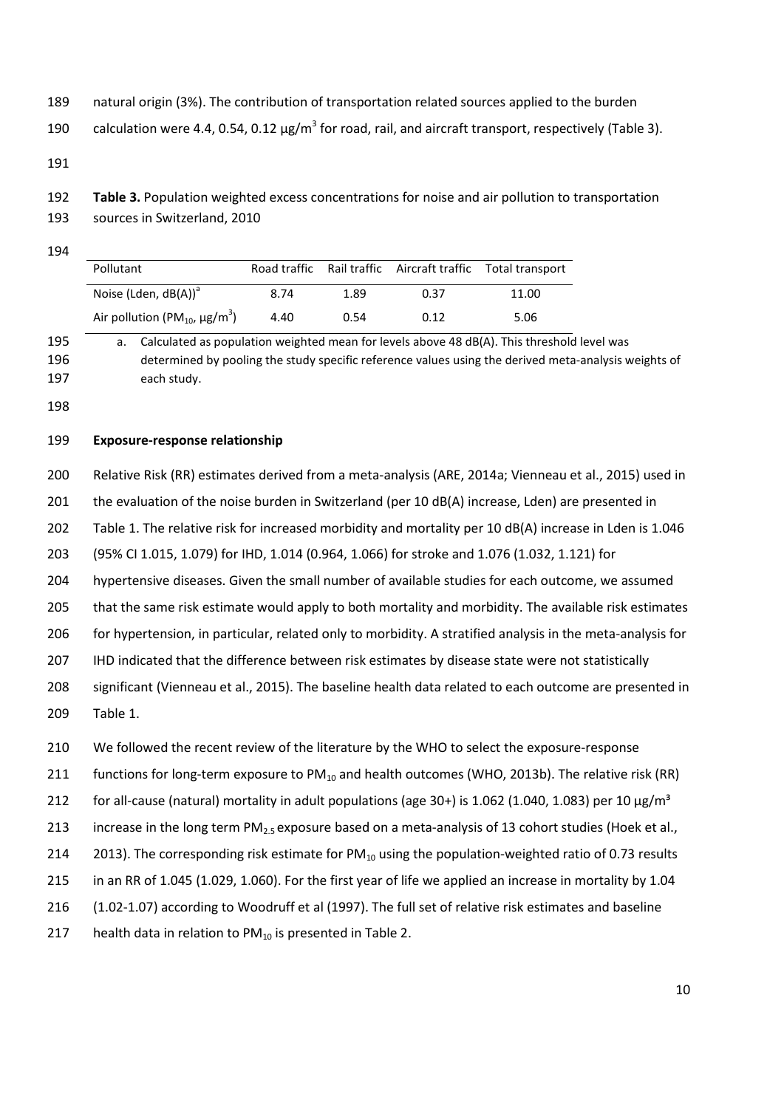natural origin (3%). The contribution of transportation related sources applied to the burden

190 calculation were 4.4, 0.54, 0.12  $\mu$ g/m<sup>3</sup> for road, rail, and aircraft transport, respectively (Table 3).

- **Table 3.** Population weighted excess concentrations for noise and air pollution to transportation
- sources in Switzerland, 2010

| Pollutant                                            |      |      |      | Road traffic Rail traffic Aircraft traffic Total transport |
|------------------------------------------------------|------|------|------|------------------------------------------------------------|
| Noise (Lden, $dB(A)$ ) <sup>a</sup>                  | 8.74 | 1.89 | 0.37 | 11.00                                                      |
| Air pollution (PM $_{10}$ , $\mu$ g/m <sup>3</sup> ) | 4.40 | 0.54 | 0.12 | 5.06                                                       |

 a. Calculated as population weighted mean for levels above 48 dB(A). This threshold level was determined by pooling the study specific reference values using the derived meta-analysis weights of each study.

#### **Exposure-response relationship**

 Relative Risk (RR) estimates derived from a meta-analysis [\(ARE, 2014a;](#page-18-6) [Vienneau et al., 2015\)](#page-21-6) used in 201 the evaluation of the noise burden in Switzerland (per 10 dB(A) increase, Lden) are presented in Table 1. The relative risk for increased morbidity and mortality per 10 dB(A) increase in Lden is 1.046 (95% CI 1.015, 1.079) for IHD, 1.014 (0.964, 1.066) for stroke and 1.076 (1.032, 1.121) for hypertensive diseases. Given the small number of available studies for each outcome, we assumed 205 that the same risk estimate would apply to both mortality and morbidity. The available risk estimates for hypertension, in particular, related only to morbidity. A stratified analysis in the meta-analysis for IHD indicated that the difference between risk estimates by disease state were not statistically significant [\(Vienneau et al., 2015\)](#page-21-6). The baseline health data related to each outcome are presented in Table 1. We followed the recent review of the literature by the WHO to select the exposure-response 211 functions for long-term exposure to  $PM_{10}$  and health outcomes [\(WHO, 2013b\)](#page-21-7). The relative risk (RR) 212 for all-cause (natural) mortality in adult populations (age 30+) is 1.062 (1.040, 1.083) per 10  $\mu$ g/m<sup>3</sup>

- 213 increase in the long term  $PM_2$ , exposure based on a meta-analysis of 13 cohort studies (Hoek et al.,
- 214 [2013\)](#page-19-0). The corresponding risk estimate for  $PM_{10}$  using the population-weighted ratio of 0.73 results
- in an RR of 1.045 (1.029, 1.060). For the first year of life we applied an increase in mortality by 1.04
- (1.02-1.07) according to Woodruff et al (1997). The full set of relative risk estimates and baseline
- 217 health data in relation to  $PM_{10}$  is presented in Table 2.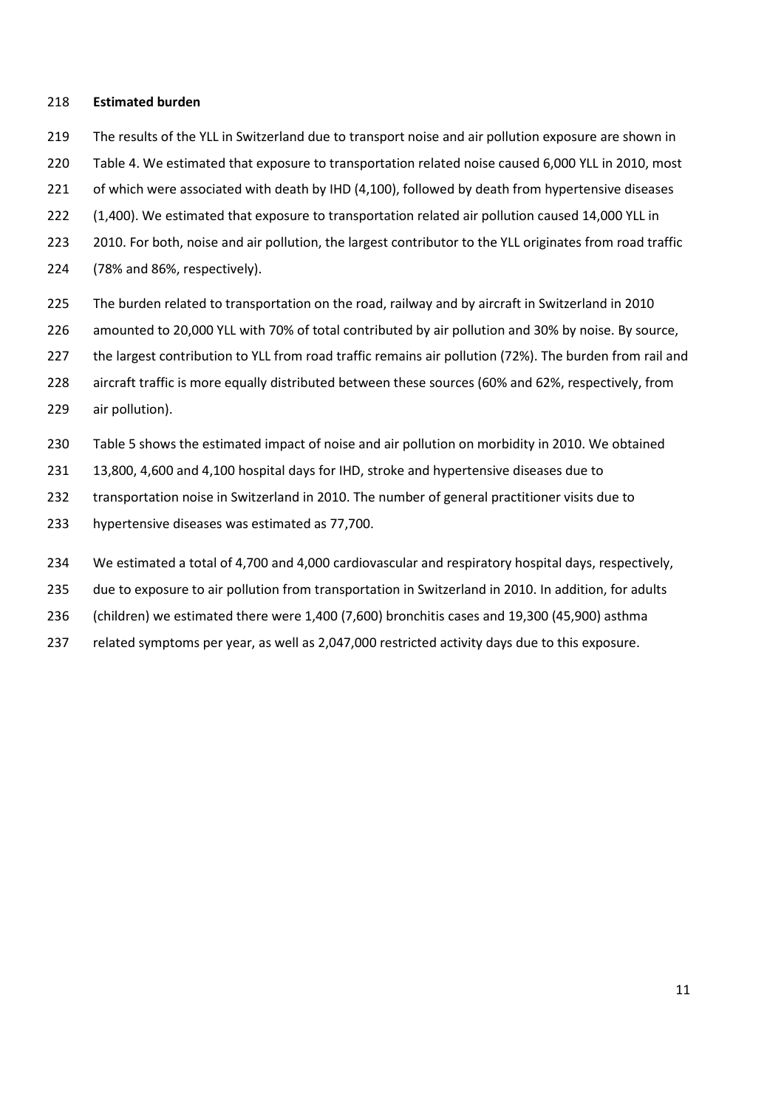#### **Estimated burden**

- The results of the YLL in Switzerland due to transport noise and air pollution exposure are shown in
- Table 4. We estimated that exposure to transportation related noise caused 6,000 YLL in 2010, most
- 221 of which were associated with death by IHD (4,100), followed by death from hypertensive diseases
- (1,400). We estimated that exposure to transportation related air pollution caused 14,000 YLL in
- 223 2010. For both, noise and air pollution, the largest contributor to the YLL originates from road traffic
- (78% and 86%, respectively).
- The burden related to transportation on the road, railway and by aircraft in Switzerland in 2010
- amounted to 20,000 YLL with 70% of total contributed by air pollution and 30% by noise. By source,
- the largest contribution to YLL from road traffic remains air pollution (72%). The burden from rail and
- aircraft traffic is more equally distributed between these sources (60% and 62%, respectively, from
- air pollution).
- Table 5 shows the estimated impact of noise and air pollution on morbidity in 2010. We obtained
- 13,800, 4,600 and 4,100 hospital days for IHD, stroke and hypertensive diseases due to
- transportation noise in Switzerland in 2010. The number of general practitioner visits due to
- hypertensive diseases was estimated as 77,700.
- We estimated a total of 4,700 and 4,000 cardiovascular and respiratory hospital days, respectively,
- due to exposure to air pollution from transportation in Switzerland in 2010. In addition, for adults
- (children) we estimated there were 1,400 (7,600) bronchitis cases and 19,300 (45,900) asthma
- related symptoms per year, as well as 2,047,000 restricted activity days due to this exposure.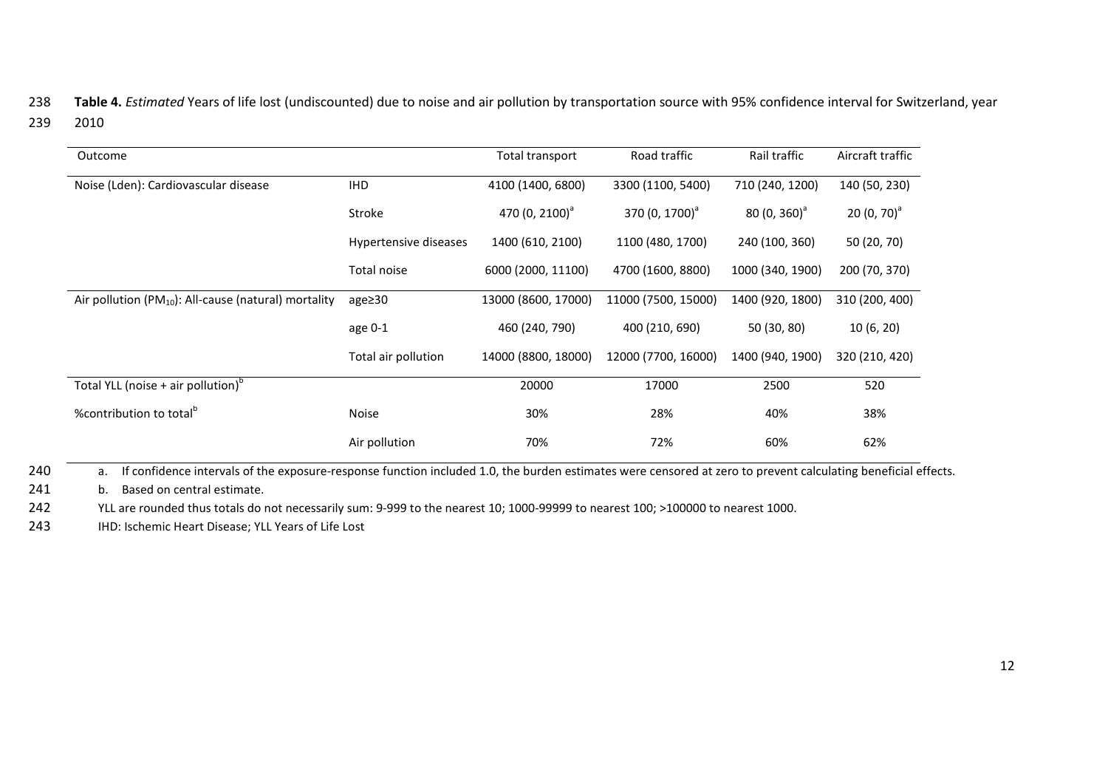238 **Table 4.** *Estimated* Years of life lost (undiscounted) due to noise and air pollution by transportation source with 95% confidence interval for Switzerland, year 239 2010

| Outcome                                                    |                       | Total transport            | Road traffic               | Rail traffic     | Aircraft traffic |
|------------------------------------------------------------|-----------------------|----------------------------|----------------------------|------------------|------------------|
| Noise (Lden): Cardiovascular disease                       | <b>IHD</b>            | 4100 (1400, 6800)          | 3300 (1100, 5400)          | 710 (240, 1200)  | 140 (50, 230)    |
|                                                            | Stroke                | 470 (0, 2100) <sup>a</sup> | 370 (0, 1700) <sup>a</sup> | $80(0, 360)^{a}$ | 20 $(0, 70)^a$   |
|                                                            | Hypertensive diseases | 1400 (610, 2100)           | 1100 (480, 1700)           | 240 (100, 360)   | 50 (20, 70)      |
|                                                            | Total noise           | 6000 (2000, 11100)         | 4700 (1600, 8800)          | 1000 (340, 1900) | 200 (70, 370)    |
| Air pollution ( $PM_{10}$ ): All-cause (natural) mortality | age≥30                | 13000 (8600, 17000)        | 11000 (7500, 15000)        | 1400 (920, 1800) | 310 (200, 400)   |
|                                                            | age 0-1               | 460 (240, 790)             | 400 (210, 690)             | 50 (30, 80)      | 10(6, 20)        |
|                                                            | Total air pollution   | 14000 (8800, 18000)        | 12000 (7700, 16000)        | 1400 (940, 1900) | 320 (210, 420)   |
| Total YLL (noise + air pollution) <sup>o</sup>             |                       | 20000                      | 17000                      | 2500             | 520              |
| %contribution to total <sup>p</sup>                        | <b>Noise</b>          | 30%                        | 28%                        | 40%              | 38%              |
|                                                            | Air pollution         | 70%                        | 72%                        | 60%              | 62%              |

240 a. If confidence intervals of the exposure-response function included 1.0, the burden estimates were censored at zero to prevent calculating beneficial effects.

241 b. Based on central estimate.

242 YLL are rounded thus totals do not necessarily sum: 9-999 to the nearest 10; 1000-99999 to nearest 100; >100000 to nearest 1000.

243 IHD: Ischemic Heart Disease; YLL Years of Life Lost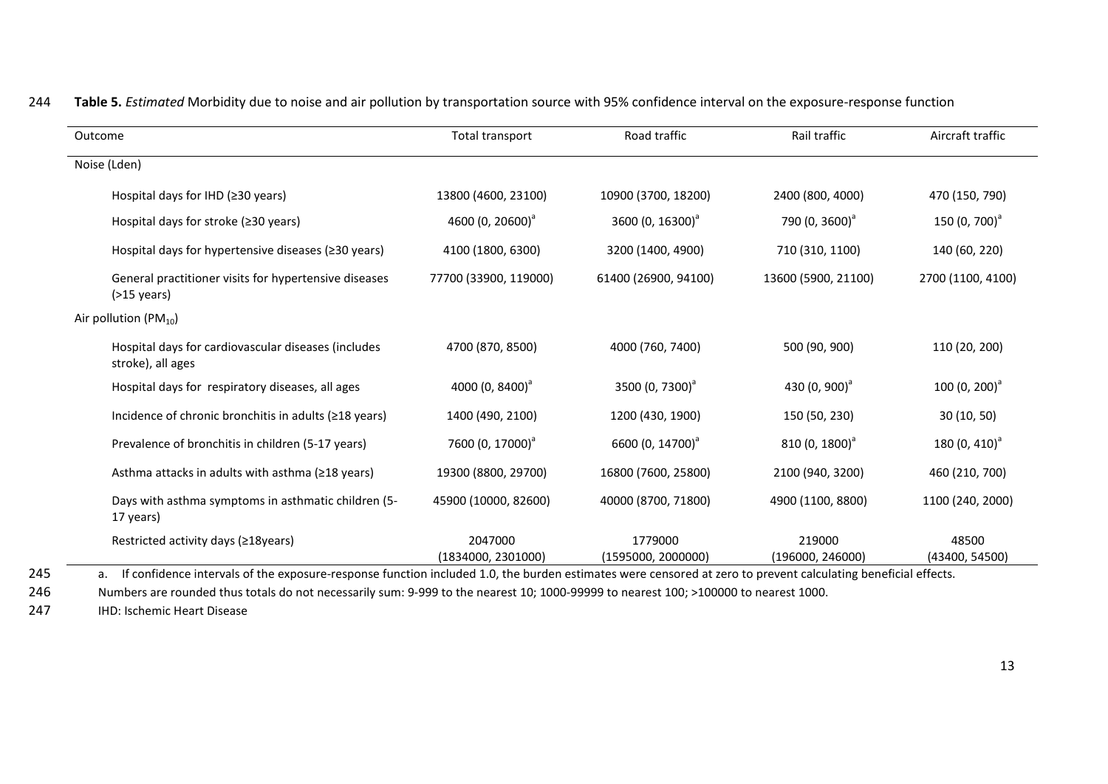| Outcome                                                                  | Total transport               | Road traffic                  | Rail traffic               | Aircraft traffic        |
|--------------------------------------------------------------------------|-------------------------------|-------------------------------|----------------------------|-------------------------|
| Noise (Lden)                                                             |                               |                               |                            |                         |
| Hospital days for IHD ( $\geq$ 30 years)                                 | 13800 (4600, 23100)           | 10900 (3700, 18200)           | 2400 (800, 4000)           | 470 (150, 790)          |
| Hospital days for stroke (≥30 years)                                     | 4600 (0, 20600) <sup>a</sup>  | 3600 (0, 16300) <sup>a</sup>  | 790 (0, 3600) <sup>a</sup> | 150 $(0, 700)^{a}$      |
| Hospital days for hypertensive diseases (≥30 years)                      | 4100 (1800, 6300)             | 3200 (1400, 4900)             | 710 (310, 1100)            | 140 (60, 220)           |
| General practitioner visits for hypertensive diseases<br>$($ >15 years)  | 77700 (33900, 119000)         | 61400 (26900, 94100)          | 13600 (5900, 21100)        | 2700 (1100, 4100)       |
| Air pollution (PM <sub>10</sub> )                                        |                               |                               |                            |                         |
| Hospital days for cardiovascular diseases (includes<br>stroke), all ages | 4700 (870, 8500)              | 4000 (760, 7400)              | 500 (90, 900)              | 110 (20, 200)           |
| Hospital days for respiratory diseases, all ages                         | 4000 $(0, 8400)^{a}$          | 3500 (0, 7300) <sup>a</sup>   | 430 $(0, 900)^{a}$         | 100 $(0, 200)^{a}$      |
| Incidence of chronic bronchitis in adults (≥18 years)                    | 1400 (490, 2100)              | 1200 (430, 1900)              | 150 (50, 230)              | 30(10, 50)              |
| Prevalence of bronchitis in children (5-17 years)                        | 7600 (0, 17000) <sup>a</sup>  | 6600 (0, 14700) <sup>a</sup>  | $810(0, 1800)^{a}$         | 180 $(0, 410)^{a}$      |
| Asthma attacks in adults with asthma (≥18 years)                         | 19300 (8800, 29700)           | 16800 (7600, 25800)           | 2100 (940, 3200)           | 460 (210, 700)          |
| Days with asthma symptoms in asthmatic children (5-<br>17 years)         | 45900 (10000, 82600)          | 40000 (8700, 71800)           | 4900 (1100, 8800)          | 1100 (240, 2000)        |
| Restricted activity days (≥18years)                                      | 2047000<br>(1834000, 2301000) | 1779000<br>(1595000, 2000000) | 219000<br>(196000, 246000) | 48500<br>(43400, 54500) |

# 244 **Table 5.** *Estimated* Morbidity due to noise and air pollution by transportation source with 95% confidence interval on the exposure-response function

245 a. If confidence intervals of the exposure-response function included 1.0, the burden estimates were censored at zero to prevent calculating beneficial effects.

246 Numbers are rounded thus totals do not necessarily sum: 9-999 to the nearest 10; 1000-99999 to nearest 100; >100000 to nearest 1000.

247 IHD: Ischemic Heart Disease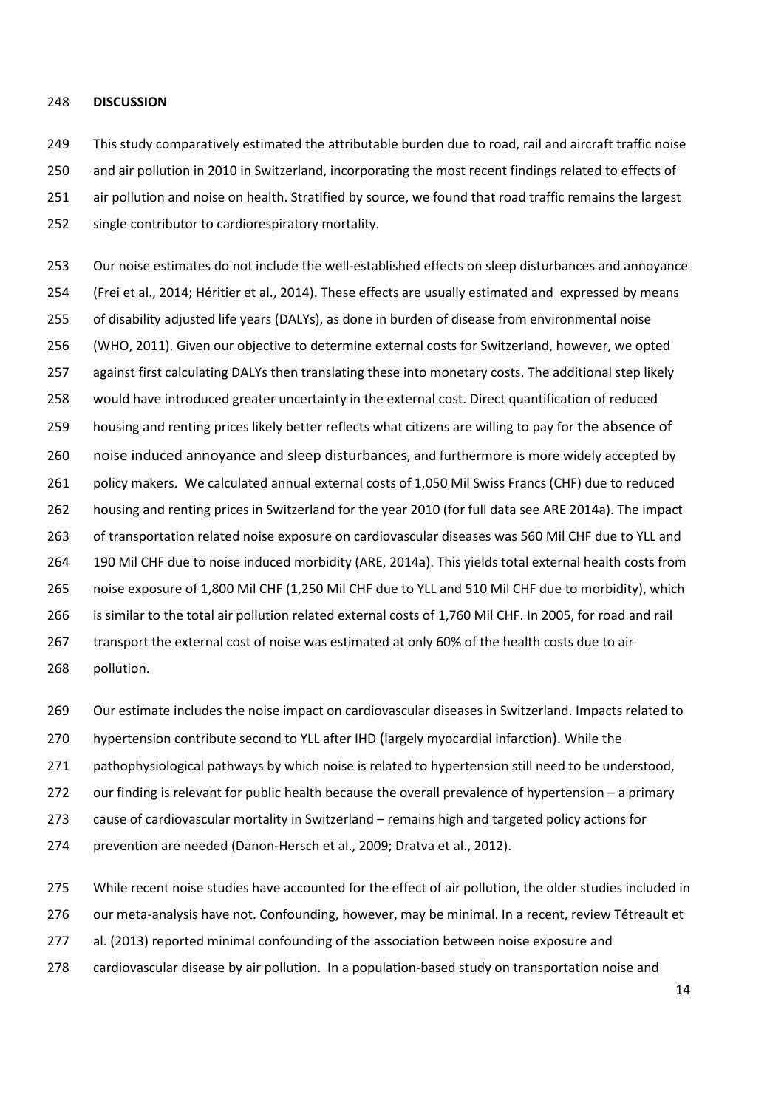#### **DISCUSSION**

249 This study comparatively estimated the attributable burden due to road, rail and aircraft traffic noise and air pollution in 2010 in Switzerland, incorporating the most recent findings related to effects of air pollution and noise on health. Stratified by source, we found that road traffic remains the largest single contributor to cardiorespiratory mortality.

 Our noise estimates do not include the well-established effects on sleep disturbances and annoyance [\(Frei et al., 2014;](#page-19-9) [Héritier et al., 2014\)](#page-19-10). These effects are usually estimated and expressed by means of disability adjusted life years (DALYs), as done in burden of disease from environmental noise [\(WHO, 2011\)](#page-21-5). Given our objective to determine external costs for Switzerland, however, we opted against first calculating DALYs then translating these into monetary costs. The additional step likely would have introduced greater uncertainty in the external cost. Direct quantification of reduced housing and renting prices likely better reflects what citizens are willing to pay for the absence of noise induced annoyance and sleep disturbances, and furthermore is more widely accepted by policy makers. We calculated annual external costs of 1,050 Mil Swiss Francs (CHF) due to reduced housing and renting prices in Switzerland for the year 2010 (for full data see ARE 2014a). The impact of transportation related noise exposure on cardiovascular diseases was 560 Mil CHF due to YLL and 190 Mil CHF due to noise induced morbidity [\(ARE, 2014a\)](#page-18-6). This yields total external health costs from noise exposure of 1,800 Mil CHF (1,250 Mil CHF due to YLL and 510 Mil CHF due to morbidity), which is similar to the total air pollution related external costs of 1,760 Mil CHF. In 2005, for road and rail transport the external cost of noise was estimated at only 60% of the health costs due to air pollution.

Our estimate includes the noise impact on cardiovascular diseases in Switzerland. Impacts related to

hypertension contribute second to YLL after IHD (largely myocardial infarction). While the

pathophysiological pathways by which noise is related to hypertension still need to be understood,

our finding is relevant for public health because the overall prevalence of hypertension – a primary

cause of cardiovascular mortality in Switzerland – remains high and targeted policy actions for

prevention are needed [\(Danon-Hersch et al., 2009;](#page-19-11) [Dratva et al., 2012\)](#page-19-12).

While recent noise studies have accounted for the effect of air pollution, the older studies included in

276 our meta-analysis have not. Confounding, however, may be minimal. In a recent, review Tétreault et

al. (2013) reported minimal confounding of the association between noise exposure and

cardiovascular disease by air pollution. In a population-based study on transportation noise and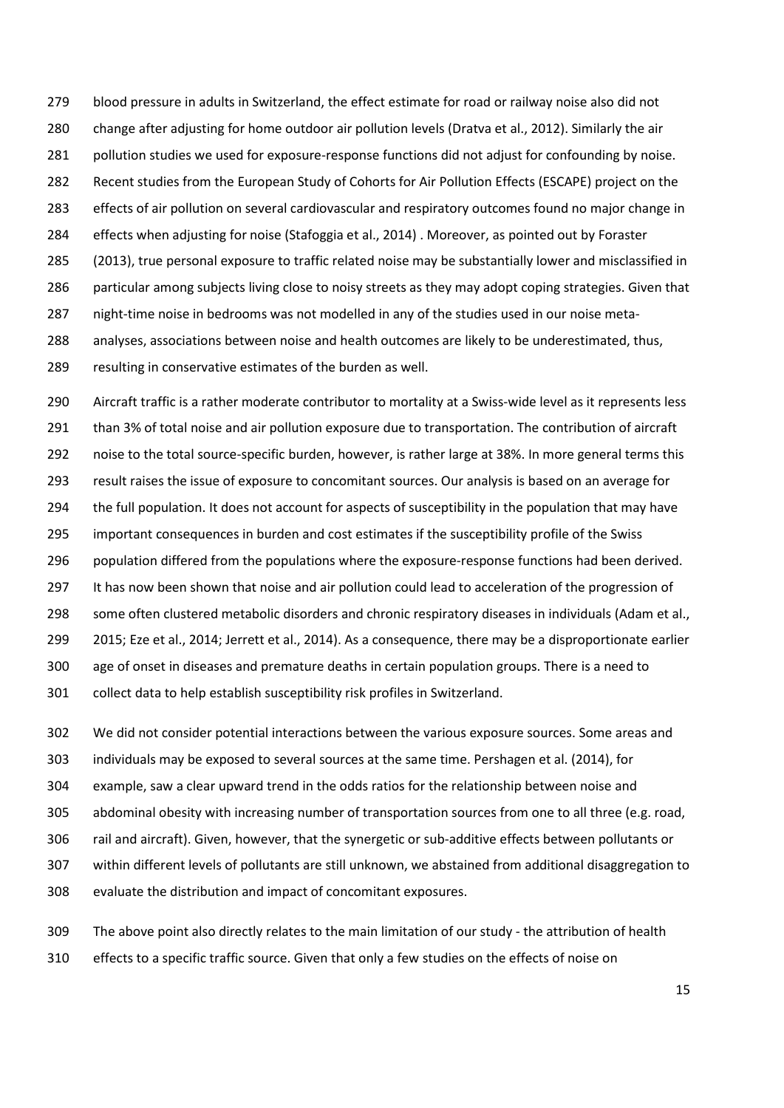blood pressure in adults in Switzerland, the effect estimate for road or railway noise also did not change after adjusting for home outdoor air pollution levels [\(Dratva et al., 2012\)](#page-19-12). Similarly the air pollution studies we used for exposure-response functions did not adjust for confounding by noise. Recent studies from the European Study of Cohorts for Air Pollution Effects (ESCAPE) project on the effects of air pollution on several cardiovascular and respiratory outcomes found no major change in effects when adjusting for noise [\(Stafoggia et al., 2014\)](#page-21-13) . Moreover, as pointed out by [Foraster](#page-19-13)  (2013), true personal exposure to traffic related noise may be substantially lower and misclassified in particular among subjects living close to noisy streets as they may adopt coping strategies. Given that night-time noise in bedrooms was not modelled in any of the studies used in our noise meta- analyses, associations between noise and health outcomes are likely to be underestimated, thus, resulting in conservative estimates of the burden as well.

 Aircraft traffic is a rather moderate contributor to mortality at a Swiss-wide level as it represents less 291 than 3% of total noise and air pollution exposure due to transportation. The contribution of aircraft noise to the total source-specific burden, however, is rather large at 38%. In more general terms this result raises the issue of exposure to concomitant sources. Our analysis is based on an average for the full population. It does not account for aspects of susceptibility in the population that may have important consequences in burden and cost estimates if the susceptibility profile of the Swiss population differed from the populations where the exposure-response functions had been derived. It has now been shown that noise and air pollution could lead to acceleration of the progression of some often clustered metabolic disorders and chronic respiratory diseases in individuals [\(Adam et al.,](#page-18-17)  [2015;](#page-18-17) [Eze et al., 2014;](#page-19-14) [Jerrett et al., 2014\)](#page-19-15). As a consequence, there may be a disproportionate earlier age of onset in diseases and premature deaths in certain population groups. There is a need to collect data to help establish susceptibility risk profiles in Switzerland.

 We did not consider potential interactions between the various exposure sources. Some areas and individuals may be exposed to several sources at the same time. [Pershagen et al. \(2014\),](#page-20-6) for example, saw a clear upward trend in the odds ratios for the relationship between noise and abdominal obesity with increasing number of transportation sources from one to all three (e.g. road, rail and aircraft). Given, however, that the synergetic or sub-additive effects between pollutants or within different levels of pollutants are still unknown, we abstained from additional disaggregation to evaluate the distribution and impact of concomitant exposures.

 The above point also directly relates to the main limitation of our study - the attribution of health effects to a specific traffic source. Given that only a few studies on the effects of noise on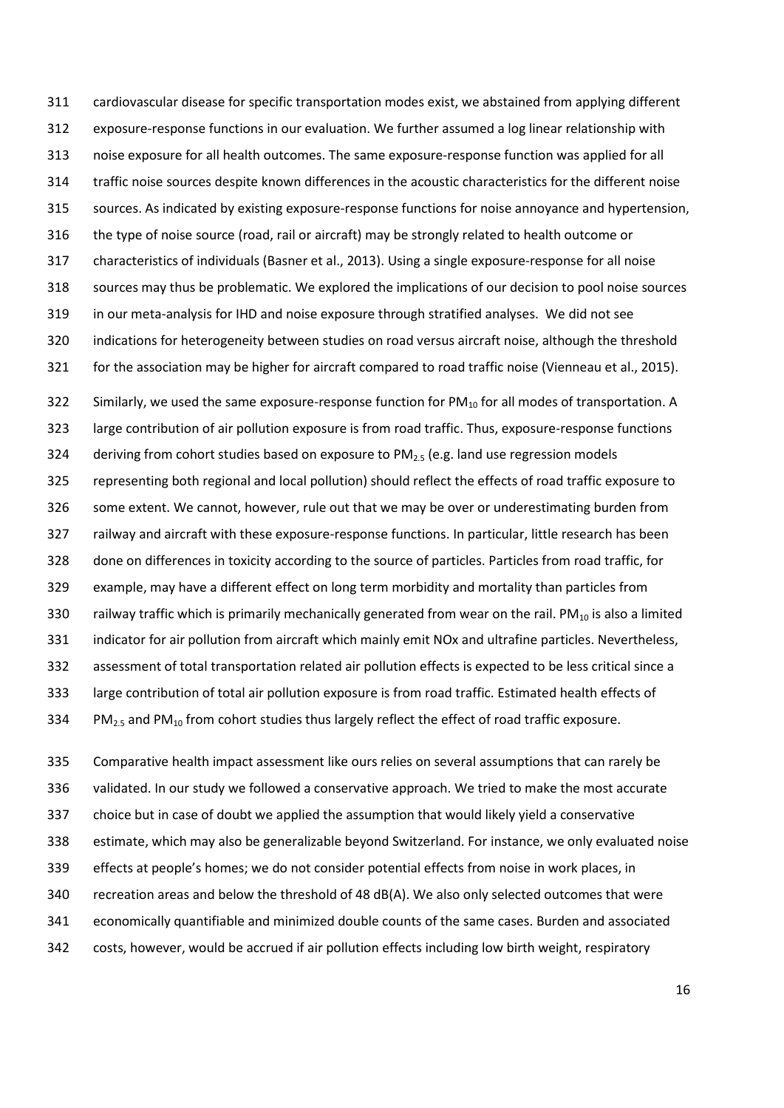cardiovascular disease for specific transportation modes exist, we abstained from applying different exposure-response functions in our evaluation. We further assumed a log linear relationship with noise exposure for all health outcomes. The same exposure-response function was applied for all traffic noise sources despite known differences in the acoustic characteristics for the different noise sources. As indicated by existing exposure-response functions for noise annoyance and hypertension, the type of noise source (road, rail or aircraft) may be strongly related to health outcome or characteristics of individuals [\(Basner et al., 2013\)](#page-18-2). Using a single exposure-response for all noise sources may thus be problematic. We explored the implications of our decision to pool noise sources in our meta-analysis for IHD and noise exposure through stratified analyses. We did not see indications for heterogeneity between studies on road versus aircraft noise, although the threshold for the association may be higher for aircraft compared to road traffic noise [\(Vienneau et al., 2015\)](#page-21-6). 322 Similarly, we used the same exposure-response function for  $PM_{10}$  for all modes of transportation. A large contribution of air pollution exposure is from road traffic. Thus, exposure-response functions 324 deriving from cohort studies based on exposure to  $PM<sub>2.5</sub>$  (e.g. land use regression models representing both regional and local pollution) should reflect the effects of road traffic exposure to some extent. We cannot, however, rule out that we may be over or underestimating burden from railway and aircraft with these exposure-response functions. In particular, little research has been done on differences in toxicity according to the source of particles. Particles from road traffic, for example, may have a different effect on long term morbidity and mortality than particles from 330 railway traffic which is primarily mechanically generated from wear on the rail. PM $_{10}$  is also a limited indicator for air pollution from aircraft which mainly emit NOx and ultrafine particles. Nevertheless, assessment of total transportation related air pollution effects is expected to be less critical since a large contribution of total air pollution exposure is from road traffic. Estimated health effects of 334 PM<sub>2.5</sub> and PM<sub>10</sub> from cohort studies thus largely reflect the effect of road traffic exposure.

 Comparative health impact assessment like ours relies on several assumptions that can rarely be validated. In our study we followed a conservative approach. We tried to make the most accurate choice but in case of doubt we applied the assumption that would likely yield a conservative estimate, which may also be generalizable beyond Switzerland. For instance, we only evaluated noise effects at people's homes; we do not consider potential effects from noise in work places, in recreation areas and below the threshold of 48 dB(A). We also only selected outcomes that were economically quantifiable and minimized double counts of the same cases. Burden and associated costs, however, would be accrued if air pollution effects including low birth weight, respiratory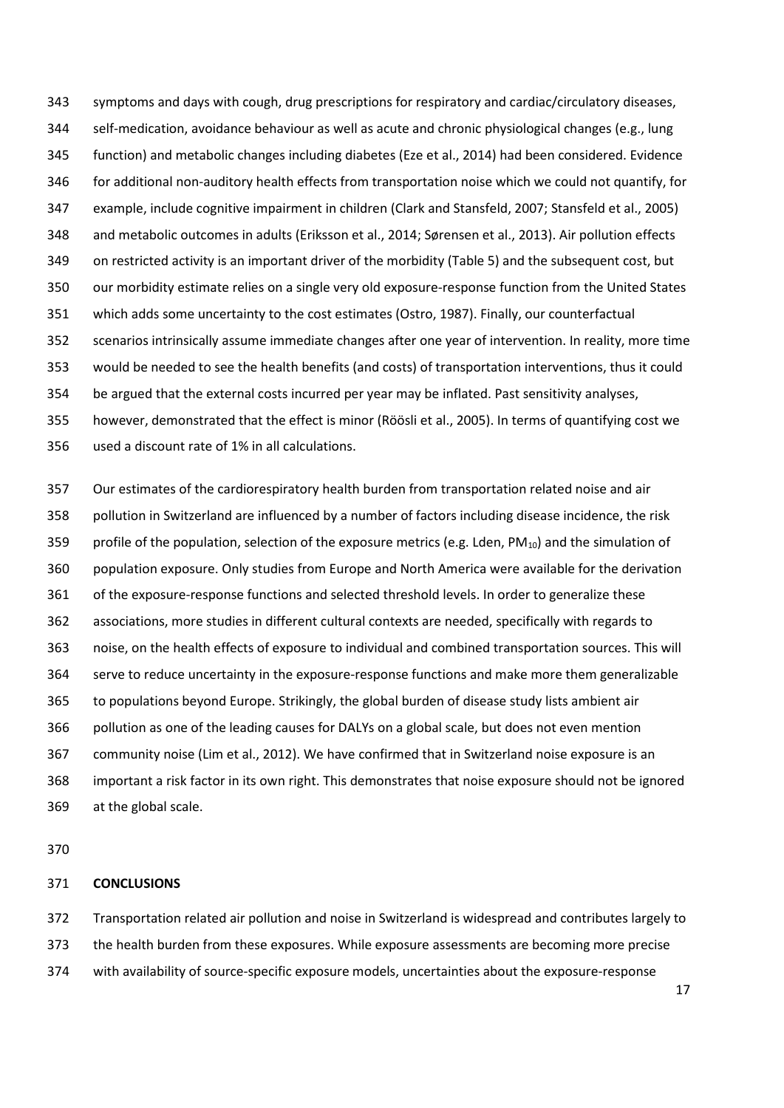symptoms and days with cough, drug prescriptions for respiratory and cardiac/circulatory diseases, self-medication, avoidance behaviour as well as acute and chronic physiological changes (e.g., lung function) and metabolic changes including diabetes [\(Eze et al., 2014\)](#page-19-14) had been considered. Evidence for additional non-auditory health effects from transportation noise which we could not quantify, for example, include cognitive impairment in children [\(Clark and Stansfeld, 2007;](#page-18-18) [Stansfeld et al., 2005\)](#page-21-14) and metabolic outcomes in adults [\(Eriksson et al., 2014;](#page-19-16) [Sørensen et al., 2013\)](#page-20-7). Air pollution effects on restricted activity is an important driver of the morbidity (Table 5) and the subsequent cost, but our morbidity estimate relies on a single very old exposure-response function from the United States which adds some uncertainty to the cost estimates [\(Ostro, 1987\)](#page-20-1). Finally, our counterfactual scenarios intrinsically assume immediate changes after one year of intervention. In reality, more time would be needed to see the health benefits (and costs) of transportation interventions, thus it could be argued that the external costs incurred per year may be inflated. Past sensitivity analyses, however, demonstrated that the effect is minor [\(Röösli et al., 2005\)](#page-20-5). In terms of quantifying cost we used a discount rate of 1% in all calculations.

 Our estimates of the cardiorespiratory health burden from transportation related noise and air pollution in Switzerland are influenced by a number of factors including disease incidence, the risk 359 profile of the population, selection of the exposure metrics (e.g. Lden,  $PM_{10}$ ) and the simulation of population exposure. Only studies from Europe and North America were available for the derivation of the exposure-response functions and selected threshold levels. In order to generalize these associations, more studies in different cultural contexts are needed, specifically with regards to noise, on the health effects of exposure to individual and combined transportation sources. This will serve to reduce uncertainty in the exposure-response functions and make more them generalizable to populations beyond Europe. Strikingly, the global burden of disease study lists ambient air pollution as one of the leading causes for DALYs on a global scale, but does not even mention community noise [\(Lim et al., 2012\)](#page-20-2). We have confirmed that in Switzerland noise exposure is an important a risk factor in its own right. This demonstrates that noise exposure should not be ignored at the global scale.

### **CONCLUSIONS**

 Transportation related air pollution and noise in Switzerland is widespread and contributes largely to the health burden from these exposures. While exposure assessments are becoming more precise with availability of source-specific exposure models, uncertainties about the exposure-response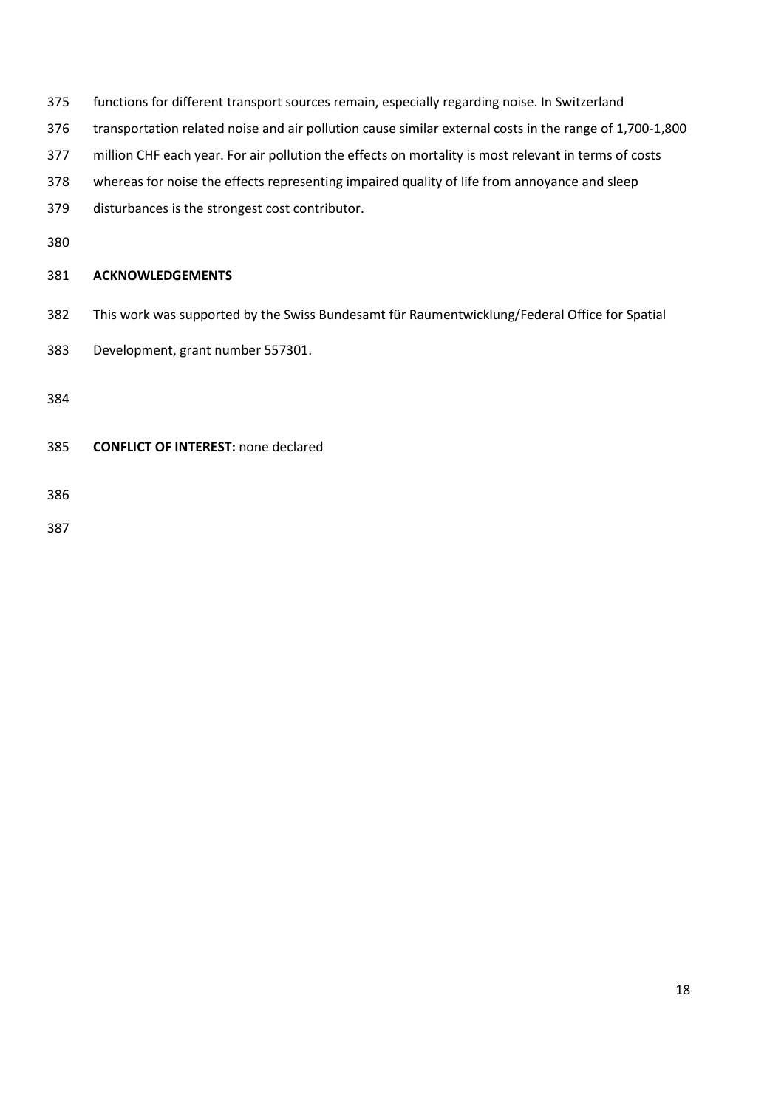- functions for different transport sources remain, especially regarding noise. In Switzerland
- transportation related noise and air pollution cause similar external costs in the range of 1,700-1,800
- million CHF each year. For air pollution the effects on mortality is most relevant in terms of costs
- whereas for noise the effects representing impaired quality of life from annoyance and sleep
- disturbances is the strongest cost contributor.
- 

# **ACKNOWLEDGEMENTS**

- This work was supported by the Swiss Bundesamt für Raumentwicklung/Federal Office for Spatial
- Development, grant number 557301.
- 
- **CONFLICT OF INTEREST:** none declared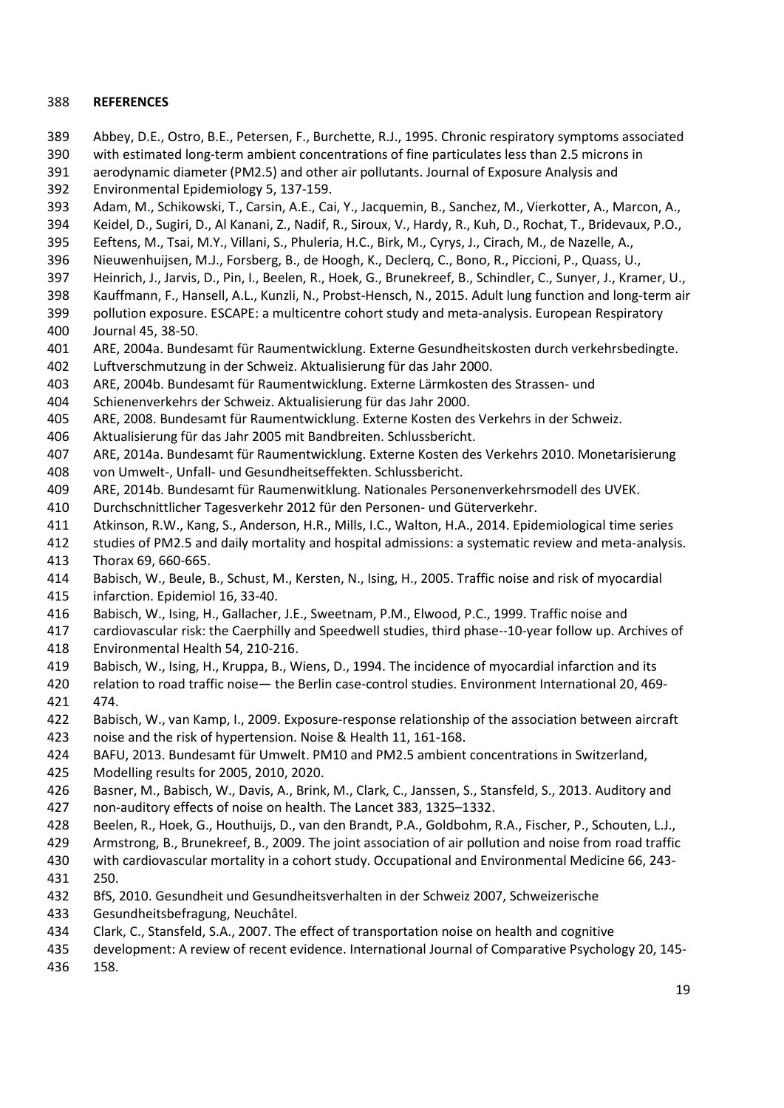## **REFERENCES**

- <span id="page-18-1"></span>Abbey, D.E., Ostro, B.E., Petersen, F., Burchette, R.J., 1995. Chronic respiratory symptoms associated
- with estimated long-term ambient concentrations of fine particulates less than 2.5 microns in
- <span id="page-18-16"></span> aerodynamic diameter (PM2.5) and other air pollutants. Journal of Exposure Analysis and Environmental Epidemiology 5, 137-159.
- <span id="page-18-17"></span>Adam, M., Schikowski, T., Carsin, A.E., Cai, Y., Jacquemin, B., Sanchez, M., Vierkotter, A., Marcon, A.,
- Keidel, D., Sugiri, D., Al Kanani, Z., Nadif, R., Siroux, V., Hardy, R., Kuh, D., Rochat, T., Bridevaux, P.O.,
- Eeftens, M., Tsai, M.Y., Villani, S., Phuleria, H.C., Birk, M., Cyrys, J., Cirach, M., de Nazelle, A.,
- <span id="page-18-10"></span>Nieuwenhuijsen, M.J., Forsberg, B., de Hoogh, K., Declerq, C., Bono, R., Piccioni, P., Quass, U.,
- Heinrich, J., Jarvis, D., Pin, I., Beelen, R., Hoek, G., Brunekreef, B., Schindler, C., Sunyer, J., Kramer, U.,
- <span id="page-18-11"></span>Kauffmann, F., Hansell, A.L., Kunzli, N., Probst-Hensch, N., 2015. Adult lung function and long-term air
- pollution exposure. ESCAPE: a multicentre cohort study and meta-analysis. European Respiratory Journal 45, 38-50.
- <span id="page-18-12"></span><span id="page-18-3"></span>ARE, 2004a. Bundesamt für Raumentwicklung. Externe Gesundheitskosten durch verkehrsbedingte.
- Luftverschmutzung in der Schweiz. Aktualisierung für das Jahr 2000.
- <span id="page-18-4"></span>ARE, 2004b. Bundesamt für Raumentwicklung. Externe Lärmkosten des Strassen- und
- <span id="page-18-14"></span>Schienenverkehrs der Schweiz. Aktualisierung für das Jahr 2000.
- <span id="page-18-5"></span>ARE, 2008. Bundesamt für Raumentwicklung. Externe Kosten des Verkehrs in der Schweiz.
- Aktualisierung für das Jahr 2005 mit Bandbreiten. Schlussbericht.
- <span id="page-18-6"></span> ARE, 2014a. Bundesamt für Raumentwicklung. Externe Kosten des Verkehrs 2010. Monetarisierung von Umwelt-, Unfall- und Gesundheitseffekten. Schlussbericht.
- <span id="page-18-7"></span>ARE, 2014b. Bundesamt für Raumenwitklung. Nationales Personenverkehrsmodell des UVEK.
- <span id="page-18-13"></span>Durchschnittlicher Tagesverkehr 2012 für den Personen- und Güterverkehr.
- <span id="page-18-0"></span>Atkinson, R.W., Kang, S., Anderson, H.R., Mills, I.C., Walton, H.A., 2014. Epidemiological time series
- studies of PM2.5 and daily mortality and hospital admissions: a systematic review and meta-analysis.
- <span id="page-18-15"></span>Thorax 69, 660-665.
- Babisch, W., Beule, B., Schust, M., Kersten, N., Ising, H., 2005. Traffic noise and risk of myocardial infarction. Epidemiol 16, 33-40.
- Babisch, W., Ising, H., Gallacher, J.E., Sweetnam, P.M., Elwood, P.C., 1999. Traffic noise and
- cardiovascular risk: the Caerphilly and Speedwell studies, third phase--10-year follow up. Archives of Environmental Health 54, 210-216.
- Babisch, W., Ising, H., Kruppa, B., Wiens, D., 1994. The incidence of myocardial infarction and its
- relation to road traffic noise— the Berlin case-control studies. Environment International 20, 469- 474.
- <span id="page-18-9"></span> Babisch, W., van Kamp, I., 2009. Exposure-response relationship of the association between aircraft noise and the risk of hypertension. Noise & Health 11, 161-168.
- <span id="page-18-8"></span>BAFU, 2013. Bundesamt für Umwelt. PM10 and PM2.5 ambient concentrations in Switzerland,
- Modelling results for 2005, 2010, 2020.
- <span id="page-18-2"></span> Basner, M., Babisch, W., Davis, A., Brink, M., Clark, C., Janssen, S., Stansfeld, S., 2013. Auditory and non-auditory effects of noise on health. The Lancet 383, 1325–1332.
- Beelen, R., Hoek, G., Houthuijs, D., van den Brandt, P.A., Goldbohm, R.A., Fischer, P., Schouten, L.J.,
- Armstrong, B., Brunekreef, B., 2009. The joint association of air pollution and noise from road traffic
- with cardiovascular mortality in a cohort study. Occupational and Environmental Medicine 66, 243- 250.
- BfS, 2010. Gesundheit und Gesundheitsverhalten in der Schweiz 2007, Schweizerische
- Gesundheitsbefragung, Neuchâtel.
- <span id="page-18-18"></span>Clark, C., Stansfeld, S.A., 2007. The effect of transportation noise on health and cognitive
- development: A review of recent evidence. International Journal of Comparative Psychology 20, 145-
- 158.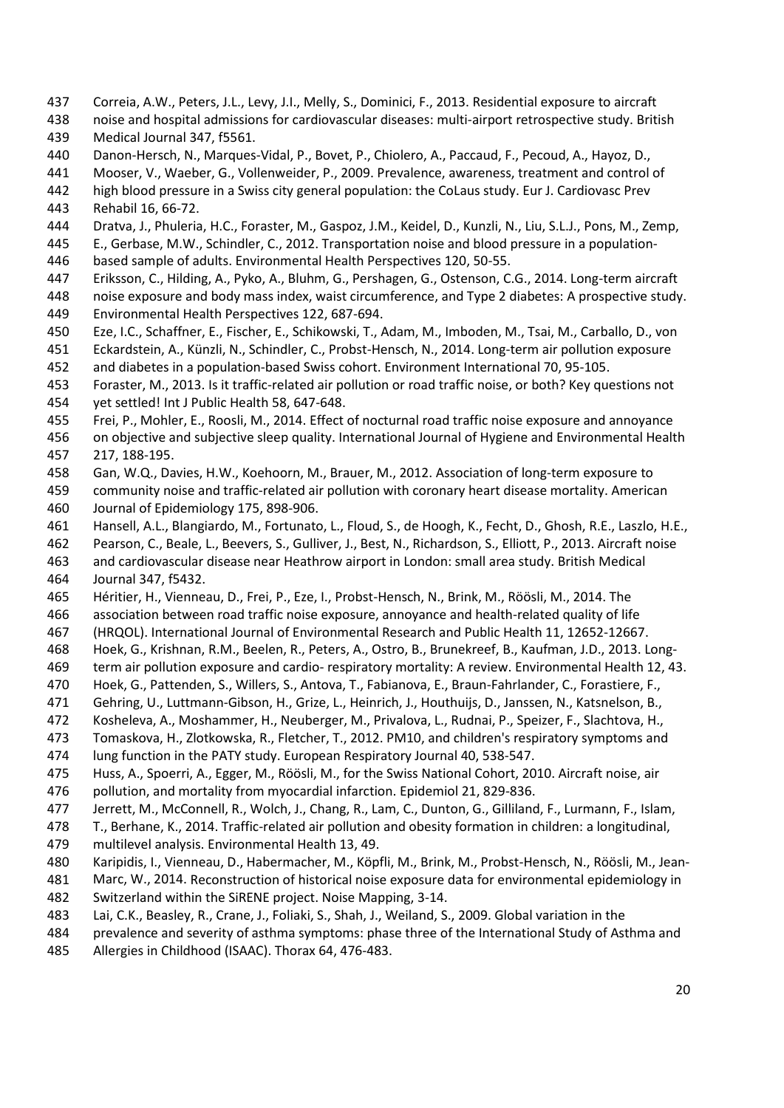- <span id="page-19-4"></span>Correia, A.W., Peters, J.L., Levy, J.I., Melly, S., Dominici, F., 2013. Residential exposure to aircraft
- noise and hospital admissions for cardiovascular diseases: multi-airport retrospective study. British Medical Journal 347, f5561.
- <span id="page-19-11"></span><span id="page-19-5"></span>Danon-Hersch, N., Marques-Vidal, P., Bovet, P., Chiolero, A., Paccaud, F., Pecoud, A., Hayoz, D.,
- Mooser, V., Waeber, G., Vollenweider, P., 2009. Prevalence, awareness, treatment and control of
- high blood pressure in a Swiss city general population: the CoLaus study. Eur J. Cardiovasc Prev
- <span id="page-19-6"></span>Rehabil 16, 66-72.
- <span id="page-19-12"></span>Dratva, J., Phuleria, H.C., Foraster, M., Gaspoz, J.M., Keidel, D., Kunzli, N., Liu, S.L.J., Pons, M., Zemp,
- E., Gerbase, M.W., Schindler, C., 2012. Transportation noise and blood pressure in a population-based sample of adults. Environmental Health Perspectives 120, 50-55.
- Eriksson, C., Hilding, A., Pyko, A., Bluhm, G., Pershagen, G., Ostenson, C.G., 2014. Long-term aircraft
- <span id="page-19-16"></span> noise exposure and body mass index, waist circumference, and Type 2 diabetes: A prospective study. Environmental Health Perspectives 122, 687-694.
- <span id="page-19-14"></span>Eze, I.C., Schaffner, E., Fischer, E., Schikowski, T., Adam, M., Imboden, M., Tsai, M., Carballo, D., von
- Eckardstein, A., Künzli, N., Schindler, C., Probst-Hensch, N., 2014. Long-term air pollution exposure
- and diabetes in a population-based Swiss cohort. Environment International 70, 95-105.
- <span id="page-19-13"></span>Foraster, M., 2013. Is it traffic-related air pollution or road traffic noise, or both? Key questions not
- yet settled! Int J Public Health 58, 647-648.
- <span id="page-19-9"></span>Frei, P., Mohler, E., Roosli, M., 2014. Effect of nocturnal road traffic noise exposure and annoyance
- <span id="page-19-7"></span> on objective and subjective sleep quality. International Journal of Hygiene and Environmental Health 217, 188-195.
- Gan, W.Q., Davies, H.W., Koehoorn, M., Brauer, M., 2012. Association of long-term exposure to
- community noise and traffic-related air pollution with coronary heart disease mortality. American Journal of Epidemiology 175, 898-906.
- Hansell, A.L., Blangiardo, M., Fortunato, L., Floud, S., de Hoogh, K., Fecht, D., Ghosh, R.E., Laszlo, H.E.,
- Pearson, C., Beale, L., Beevers, S., Gulliver, J., Best, N., Richardson, S., Elliott, P., 2013. Aircraft noise
- and cardiovascular disease near Heathrow airport in London: small area study. British Medical
- Journal 347, f5432.
- <span id="page-19-10"></span>Héritier, H., Vienneau, D., Frei, P., Eze, I., Probst-Hensch, N., Brink, M., Röösli, M., 2014. The
- association between road traffic noise exposure, annoyance and health-related quality of life
- (HRQOL). International Journal of Environmental Research and Public Health 11, 12652-12667.
- <span id="page-19-0"></span>Hoek, G., Krishnan, R.M., Beelen, R., Peters, A., Ostro, B., Brunekreef, B., Kaufman, J.D., 2013. Long-
- term air pollution exposure and cardio- respiratory mortality: A review. Environmental Health 12, 43.
- <span id="page-19-1"></span>Hoek, G., Pattenden, S., Willers, S., Antova, T., Fabianova, E., Braun-Fahrlander, C., Forastiere, F.,
- Gehring, U., Luttmann-Gibson, H., Grize, L., Heinrich, J., Houthuijs, D., Janssen, N., Katsnelson, B.,
- Kosheleva, A., Moshammer, H., Neuberger, M., Privalova, L., Rudnai, P., Speizer, F., Slachtova, H.,
- Tomaskova, H., Zlotkowska, R., Fletcher, T., 2012. PM10, and children's respiratory symptoms and
- lung function in the PATY study. European Respiratory Journal 40, 538-547.
- <span id="page-19-3"></span>Huss, A., Spoerri, A., Egger, M., Röösli, M., for the Swiss National Cohort, 2010. Aircraft noise, air
- pollution, and mortality from myocardial infarction. Epidemiol 21, 829-836.
- <span id="page-19-15"></span>Jerrett, M., McConnell, R., Wolch, J., Chang, R., Lam, C., Dunton, G., Gilliland, F., Lurmann, F., Islam,
- T., Berhane, K., 2014. Traffic-related air pollution and obesity formation in children: a longitudinal,
- multilevel analysis. Environmental Health 13, 49.
- <span id="page-19-2"></span>Karipidis, I., Vienneau, D., Habermacher, M., Köpfli, M., Brink, M., Probst-Hensch, N., Röösli, M., Jean-
- Marc, W., 2014. Reconstruction of historical noise exposure data for environmental epidemiology in Switzerland within the SiRENE project. Noise Mapping, 3-14.
- <span id="page-19-8"></span>Lai, C.K., Beasley, R., Crane, J., Foliaki, S., Shah, J., Weiland, S., 2009. Global variation in the
- prevalence and severity of asthma symptoms: phase three of the International Study of Asthma and
- Allergies in Childhood (ISAAC). Thorax 64, 476-483.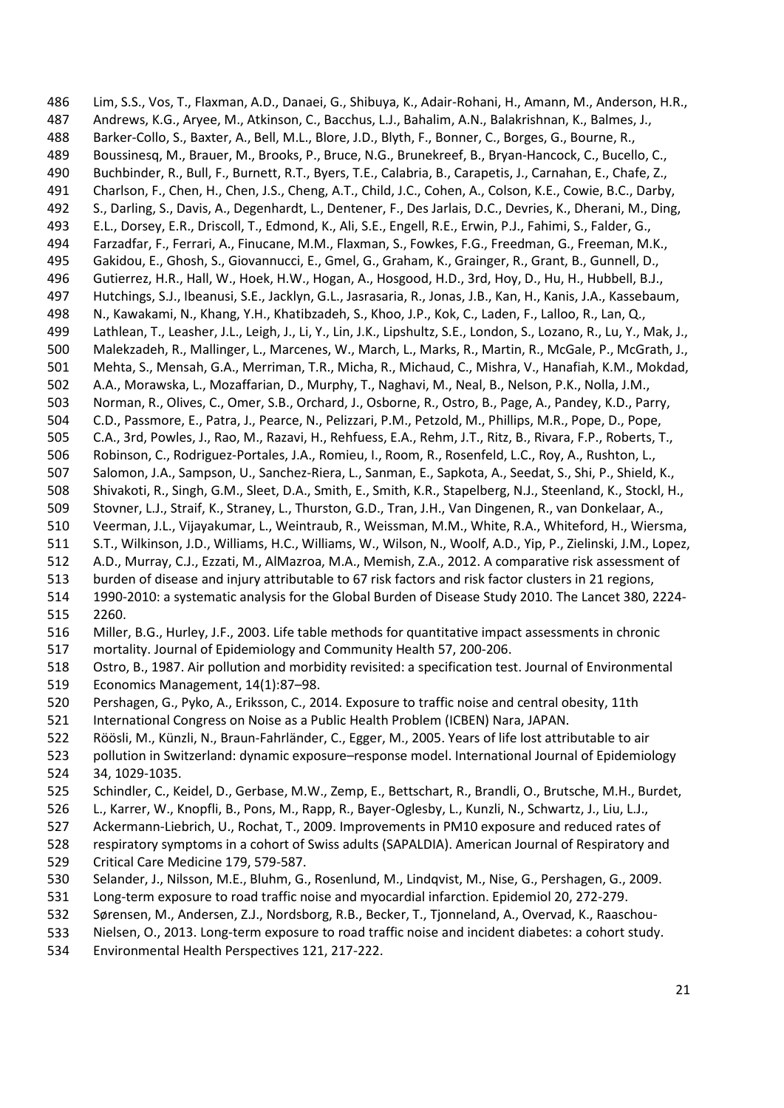<span id="page-20-2"></span> Lim, S.S., Vos, T., Flaxman, A.D., Danaei, G., Shibuya, K., Adair-Rohani, H., Amann, M., Anderson, H.R., Andrews, K.G., Aryee, M., Atkinson, C., Bacchus, L.J., Bahalim, A.N., Balakrishnan, K., Balmes, J., Barker-Collo, S., Baxter, A., Bell, M.L., Blore, J.D., Blyth, F., Bonner, C., Borges, G., Bourne, R., Boussinesq, M., Brauer, M., Brooks, P., Bruce, N.G., Brunekreef, B., Bryan-Hancock, C., Bucello, C., Buchbinder, R., Bull, F., Burnett, R.T., Byers, T.E., Calabria, B., Carapetis, J., Carnahan, E., Chafe, Z., Charlson, F., Chen, H., Chen, J.S., Cheng, A.T., Child, J.C., Cohen, A., Colson, K.E., Cowie, B.C., Darby, S., Darling, S., Davis, A., Degenhardt, L., Dentener, F., Des Jarlais, D.C., Devries, K., Dherani, M., Ding, E.L., Dorsey, E.R., Driscoll, T., Edmond, K., Ali, S.E., Engell, R.E., Erwin, P.J., Fahimi, S., Falder, G., Farzadfar, F., Ferrari, A., Finucane, M.M., Flaxman, S., Fowkes, F.G., Freedman, G., Freeman, M.K., Gakidou, E., Ghosh, S., Giovannucci, E., Gmel, G., Graham, K., Grainger, R., Grant, B., Gunnell, D., Gutierrez, H.R., Hall, W., Hoek, H.W., Hogan, A., Hosgood, H.D., 3rd, Hoy, D., Hu, H., Hubbell, B.J., Hutchings, S.J., Ibeanusi, S.E., Jacklyn, G.L., Jasrasaria, R., Jonas, J.B., Kan, H., Kanis, J.A., Kassebaum, N., Kawakami, N., Khang, Y.H., Khatibzadeh, S., Khoo, J.P., Kok, C., Laden, F., Lalloo, R., Lan, Q., Lathlean, T., Leasher, J.L., Leigh, J., Li, Y., Lin, J.K., Lipshultz, S.E., London, S., Lozano, R., Lu, Y., Mak, J., Malekzadeh, R., Mallinger, L., Marcenes, W., March, L., Marks, R., Martin, R., McGale, P., McGrath, J., Mehta, S., Mensah, G.A., Merriman, T.R., Micha, R., Michaud, C., Mishra, V., Hanafiah, K.M., Mokdad, A.A., Morawska, L., Mozaffarian, D., Murphy, T., Naghavi, M., Neal, B., Nelson, P.K., Nolla, J.M., Norman, R., Olives, C., Omer, S.B., Orchard, J., Osborne, R., Ostro, B., Page, A., Pandey, K.D., Parry, C.D., Passmore, E., Patra, J., Pearce, N., Pelizzari, P.M., Petzold, M., Phillips, M.R., Pope, D., Pope, C.A., 3rd, Powles, J., Rao, M., Razavi, H., Rehfuess, E.A., Rehm, J.T., Ritz, B., Rivara, F.P., Roberts, T., Robinson, C., Rodriguez-Portales, J.A., Romieu, I., Room, R., Rosenfeld, L.C., Roy, A., Rushton, L., Salomon, J.A., Sampson, U., Sanchez-Riera, L., Sanman, E., Sapkota, A., Seedat, S., Shi, P., Shield, K., Shivakoti, R., Singh, G.M., Sleet, D.A., Smith, E., Smith, K.R., Stapelberg, N.J., Steenland, K., Stockl, H., Stovner, L.J., Straif, K., Straney, L., Thurston, G.D., Tran, J.H., Van Dingenen, R., van Donkelaar, A., Veerman, J.L., Vijayakumar, L., Weintraub, R., Weissman, M.M., White, R.A., Whiteford, H., Wiersma, S.T., Wilkinson, J.D., Williams, H.C., Williams, W., Wilson, N., Woolf, A.D., Yip, P., Zielinski, J.M., Lopez, A.D., Murray, C.J., Ezzati, M., AlMazroa, M.A., Memish, Z.A., 2012. A comparative risk assessment of burden of disease and injury attributable to 67 risk factors and risk factor clusters in 21 regions, 1990-2010: a systematic analysis for the Global Burden of Disease Study 2010. The Lancet 380, 2224- 2260. Miller, B.G., Hurley, J.F., 2003. Life table methods for quantitative impact assessments in chronic mortality. Journal of Epidemiology and Community Health 57, 200-206. Ostro, B., 1987. Air pollution and morbidity revisited: a specification test. Journal of Environmental Economics Management, 14(1):87–98. Pershagen, G., Pyko, A., Eriksson, C., 2014. Exposure to traffic noise and central obesity, 11th International Congress on Noise as a Public Health Problem (ICBEN) Nara, JAPAN. Röösli, M., Künzli, N., Braun-Fahrländer, C., Egger, M., 2005. Years of life lost attributable to air pollution in Switzerland: dynamic exposure–response model. International Journal of Epidemiology 34, 1029-1035. Schindler, C., Keidel, D., Gerbase, M.W., Zemp, E., Bettschart, R., Brandli, O., Brutsche, M.H., Burdet, L., Karrer, W., Knopfli, B., Pons, M., Rapp, R., Bayer-Oglesby, L., Kunzli, N., Schwartz, J., Liu, L.J., Ackermann-Liebrich, U., Rochat, T., 2009. Improvements in PM10 exposure and reduced rates of respiratory symptoms in a cohort of Swiss adults (SAPALDIA). American Journal of Respiratory and Critical Care Medicine 179, 579-587. Selander, J., Nilsson, M.E., Bluhm, G., Rosenlund, M., Lindqvist, M., Nise, G., Pershagen, G., 2009. Long-term exposure to road traffic noise and myocardial infarction. Epidemiol 20, 272-279. Sørensen, M., Andersen, Z.J., Nordsborg, R.B., Becker, T., Tjonneland, A., Overvad, K., Raaschou-

- <span id="page-20-7"></span><span id="page-20-6"></span><span id="page-20-5"></span><span id="page-20-4"></span><span id="page-20-3"></span><span id="page-20-1"></span><span id="page-20-0"></span>Nielsen, O., 2013. Long-term exposure to road traffic noise and incident diabetes: a cohort study.
- Environmental Health Perspectives 121, 217-222.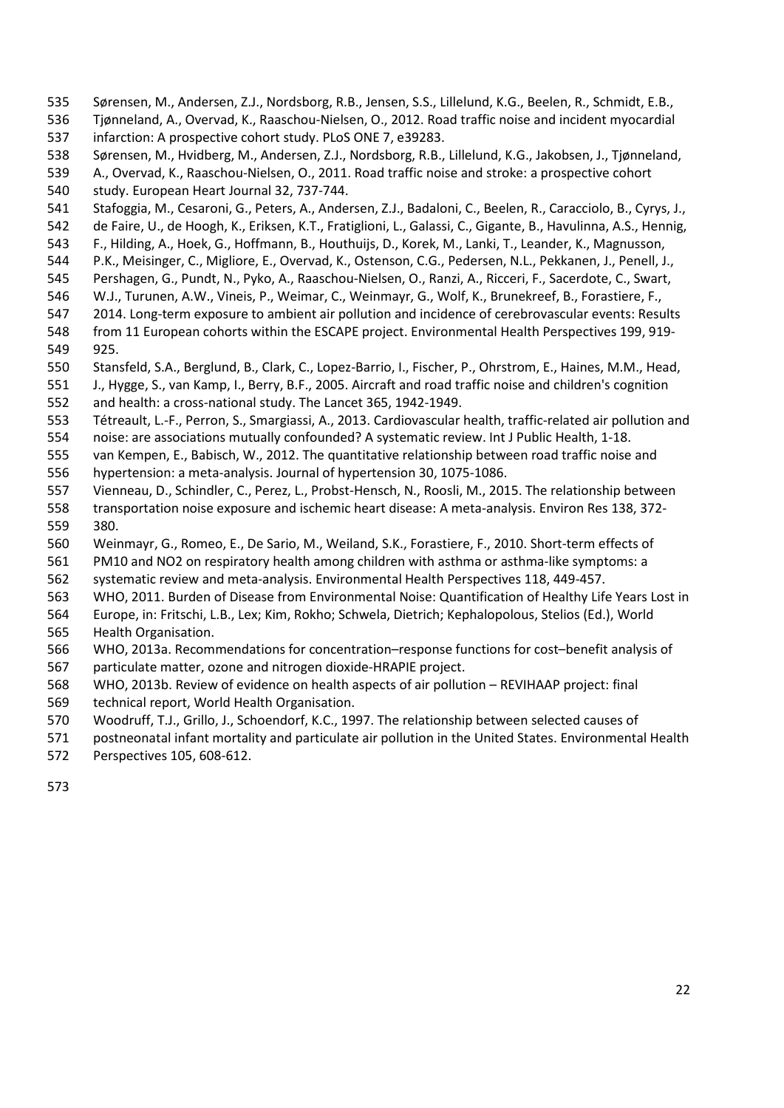- <span id="page-21-9"></span><span id="page-21-8"></span>Sørensen, M., Andersen, Z.J., Nordsborg, R.B., Jensen, S.S., Lillelund, K.G., Beelen, R., Schmidt, E.B.,
- <span id="page-21-10"></span> Tjønneland, A., Overvad, K., Raaschou-Nielsen, O., 2012. Road traffic noise and incident myocardial infarction: A prospective cohort study. PLoS ONE 7, e39283.
- <span id="page-21-3"></span>Sørensen, M., Hvidberg, M., Andersen, Z.J., Nordsborg, R.B., Lillelund, K.G., Jakobsen, J., Tjønneland,
- <span id="page-21-11"></span> A., Overvad, K., Raaschou-Nielsen, O., 2011. Road traffic noise and stroke: a prospective cohort study. European Heart Journal 32, 737-744.
- <span id="page-21-13"></span>Stafoggia, M., Cesaroni, G., Peters, A., Andersen, Z.J., Badaloni, C., Beelen, R., Caracciolo, B., Cyrys, J.,
- de Faire, U., de Hoogh, K., Eriksen, K.T., Fratiglioni, L., Galassi, C., Gigante, B., Havulinna, A.S., Hennig,
- F., Hilding, A., Hoek, G., Hoffmann, B., Houthuijs, D., Korek, M., Lanki, T., Leander, K., Magnusson,
- P.K., Meisinger, C., Migliore, E., Overvad, K., Ostenson, C.G., Pedersen, N.L., Pekkanen, J., Penell, J.,
- Pershagen, G., Pundt, N., Pyko, A., Raaschou-Nielsen, O., Ranzi, A., Ricceri, F., Sacerdote, C., Swart,
- W.J., Turunen, A.W., Vineis, P., Weimar, C., Weinmayr, G., Wolf, K., Brunekreef, B., Forastiere, F.,
- 2014. Long-term exposure to ambient air pollution and incidence of cerebrovascular events: Results from 11 European cohorts within the ESCAPE project. Environmental Health Perspectives 199, 919-
- 925. Stansfeld, S.A., Berglund, B., Clark, C., Lopez-Barrio, I., Fischer, P., Ohrstrom, E., Haines, M.M., Head,
- <span id="page-21-14"></span>J., Hygge, S., van Kamp, I., Berry, B.F., 2005. Aircraft and road traffic noise and children's cognition
- and health: a cross-national study. The Lancet 365, 1942-1949.
- <span id="page-21-12"></span>Tétreault, L.-F., Perron, S., Smargiassi, A., 2013. Cardiovascular health, traffic-related air pollution and
- noise: are associations mutually confounded? A systematic review. Int J Public Health, 1-18.
- <span id="page-21-4"></span>van Kempen, E., Babisch, W., 2012. The quantitative relationship between road traffic noise and
- hypertension: a meta-analysis. Journal of hypertension 30, 1075-1086.
- <span id="page-21-6"></span>Vienneau, D., Schindler, C., Perez, L., Probst-Hensch, N., Roosli, M., 2015. The relationship between
- transportation noise exposure and ischemic heart disease: A meta-analysis. Environ Res 138, 372- 380.
- <span id="page-21-1"></span>Weinmayr, G., Romeo, E., De Sario, M., Weiland, S.K., Forastiere, F., 2010. Short-term effects of
- PM10 and NO2 on respiratory health among children with asthma or asthma-like symptoms: a
- systematic review and meta-analysis. Environmental Health Perspectives 118, 449-457.
- <span id="page-21-5"></span>WHO, 2011. Burden of Disease from Environmental Noise: Quantification of Healthy Life Years Lost in
- Europe, in: Fritschi, L.B., Lex; Kim, Rokho; Schwela, Dietrich; Kephalopolous, Stelios (Ed.), World Health Organisation.
- <span id="page-21-2"></span> WHO, 2013a. Recommendations for concentration–response functions for cost–benefit analysis of particulate matter, ozone and nitrogen dioxide-HRAPIE project.
- <span id="page-21-7"></span>WHO, 2013b. Review of evidence on health aspects of air pollution – REVIHAAP project: final
- technical report, World Health Organisation.
- <span id="page-21-0"></span>Woodruff, T.J., Grillo, J., Schoendorf, K.C., 1997. The relationship between selected causes of
- postneonatal infant mortality and particulate air pollution in the United States. Environmental Health
- Perspectives 105, 608-612.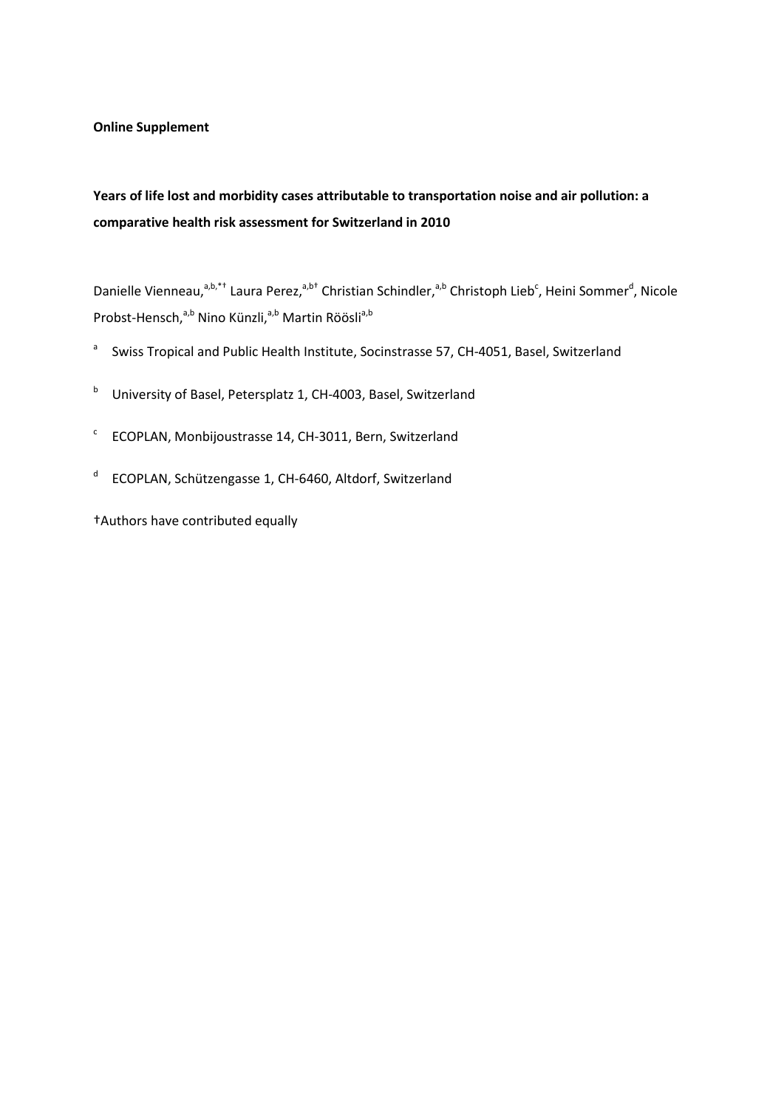**Online Supplement** 

# **Years of life lost and morbidity cases attributable to transportation noise and air pollution: a comparative health risk assessment for Switzerland in 2010**

Danielle Vienneau,<sup>a,b,\*†</sup> Laura Perez,<sup>a,b†</sup> Christian Schindler,<sup>a,b</sup> Christoph Lieb<sup>c</sup>, Heini Sommer<sup>d</sup>, Nicole Probst-Hensch,<sup>a,b</sup> Nino Künzli,<sup>a,b</sup> Martin Röösli<sup>a,b</sup>

- <sup>a</sup> Swiss Tropical and Public Health Institute, Socinstrasse 57, CH-4051, Basel, Switzerland
- <sup>b</sup> University of Basel, Petersplatz 1, CH-4003, Basel, Switzerland
- $C$  ECOPLAN, Monbijoustrasse 14, CH-3011, Bern, Switzerland
- <sup>d</sup> ECOPLAN, Schützengasse 1, CH-6460, Altdorf, Switzerland

†Authors have contributed equally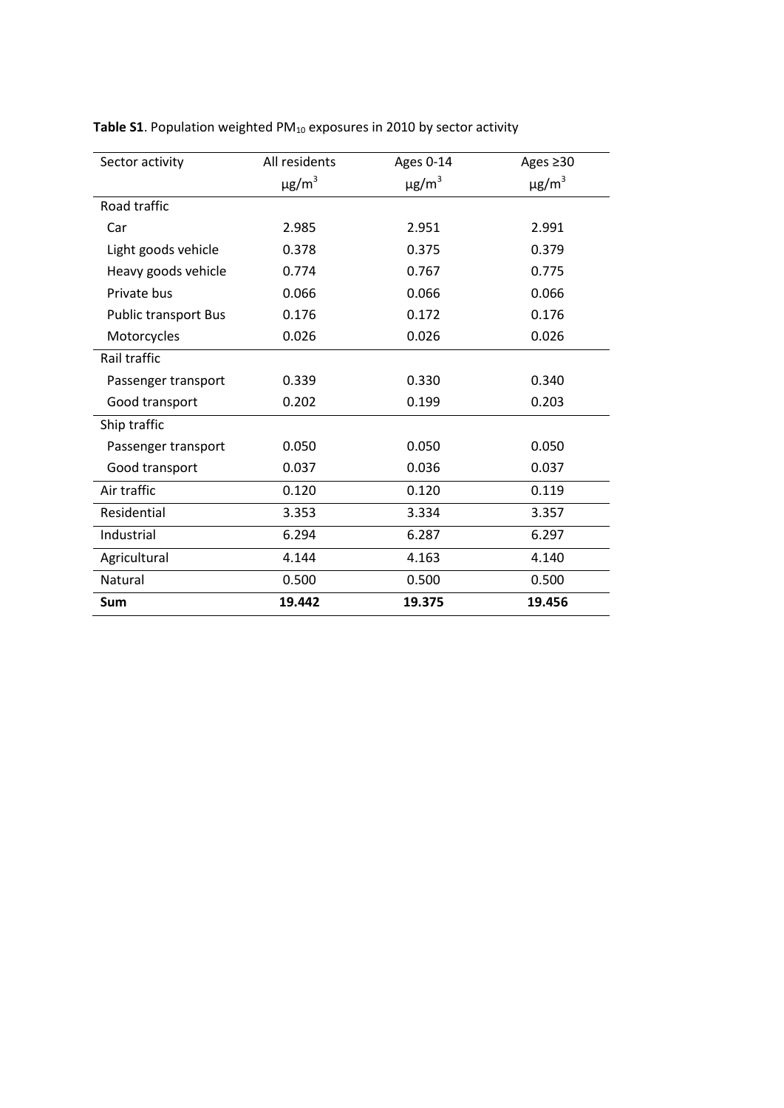| Sector activity             | All residents          | Ages 0-14              | Ages ≥30               |
|-----------------------------|------------------------|------------------------|------------------------|
|                             | $\mu$ g/m <sup>3</sup> | $\mu$ g/m <sup>3</sup> | $\mu$ g/m <sup>3</sup> |
| Road traffic                |                        |                        |                        |
| Car                         | 2.985                  | 2.951                  | 2.991                  |
| Light goods vehicle         | 0.378                  | 0.375                  | 0.379                  |
| Heavy goods vehicle         | 0.774                  | 0.767                  | 0.775                  |
| Private bus                 | 0.066                  | 0.066                  | 0.066                  |
| <b>Public transport Bus</b> | 0.176                  | 0.172                  | 0.176                  |
| Motorcycles                 | 0.026                  | 0.026                  | 0.026                  |
| Rail traffic                |                        |                        |                        |
| Passenger transport         | 0.339                  | 0.330                  | 0.340                  |
| Good transport              | 0.202                  | 0.199                  | 0.203                  |
| Ship traffic                |                        |                        |                        |
| Passenger transport         | 0.050                  | 0.050                  | 0.050                  |
| Good transport              | 0.037                  | 0.036                  | 0.037                  |
| Air traffic                 | 0.120                  | 0.120                  | 0.119                  |
| Residential                 | 3.353                  | 3.334                  | 3.357                  |
| Industrial                  | 6.294                  | 6.287                  | 6.297                  |
| Agricultural                | 4.144                  | 4.163                  | 4.140                  |
| Natural                     | 0.500                  | 0.500                  | 0.500                  |
| Sum                         | 19.442                 | 19.375                 | 19.456                 |

Table S1. Population weighted PM<sub>10</sub> exposures in 2010 by sector activity